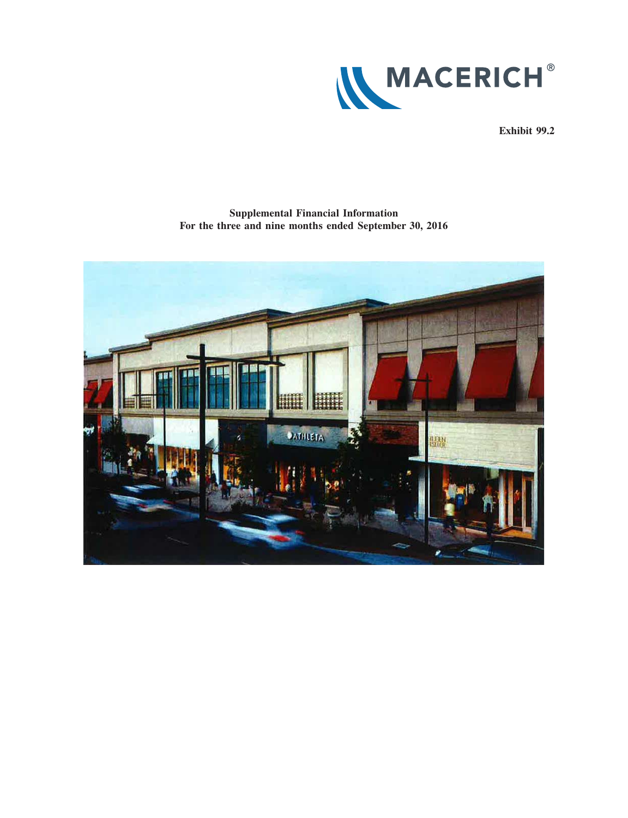

**Exhibit 99.2**

## **Supplemental Financial Information For the three and nine months ended September 30, 2016**

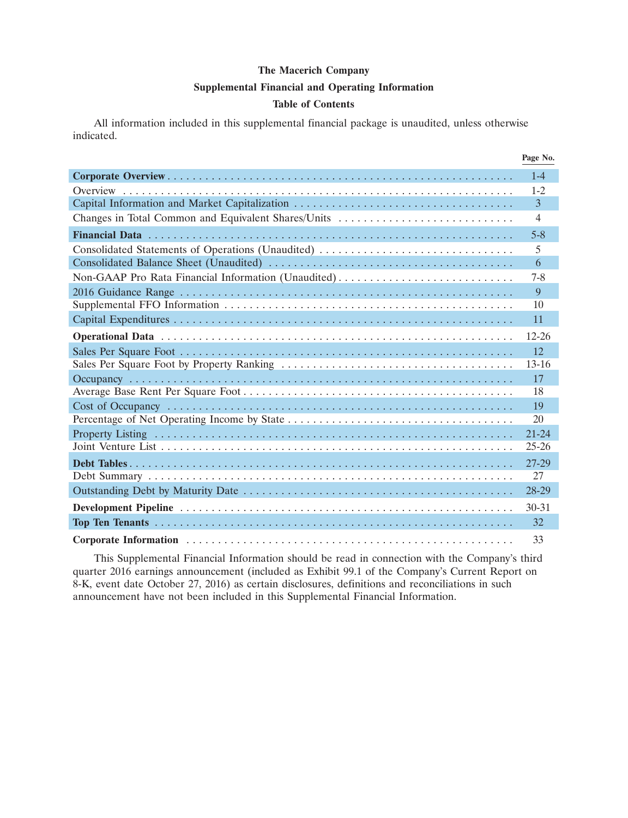#### **Supplemental Financial and Operating Information**

### **Table of Contents**

All information included in this supplemental financial package is unaudited, unless otherwise indicated.

|                                                     | Page No.       |
|-----------------------------------------------------|----------------|
|                                                     | $1 - 4$        |
|                                                     | $1 - 2$        |
|                                                     | 3              |
| Changes in Total Common and Equivalent Shares/Units | $\overline{4}$ |
|                                                     | $5 - 8$        |
| Consolidated Statements of Operations (Unaudited)   | 5              |
|                                                     | 6              |
| Non-GAAP Pro Rata Financial Information (Unaudited) | $7 - 8$        |
|                                                     | 9              |
|                                                     | 10             |
|                                                     | 11             |
|                                                     | $12 - 26$      |
|                                                     | 12             |
|                                                     | $13 - 16$      |
|                                                     | 17             |
|                                                     | 18             |
|                                                     | 19             |
|                                                     | 20             |
|                                                     | $21 - 24$      |
|                                                     | $25 - 26$      |
|                                                     | 27-29          |
|                                                     | 27             |
|                                                     | 28-29          |
|                                                     | $30 - 31$      |
|                                                     | 32             |
|                                                     | 33             |

This Supplemental Financial Information should be read in connection with the Company's third quarter 2016 earnings announcement (included as Exhibit 99.1 of the Company's Current Report on 8-K, event date October 27, 2016) as certain disclosures, definitions and reconciliations in such announcement have not been included in this Supplemental Financial Information.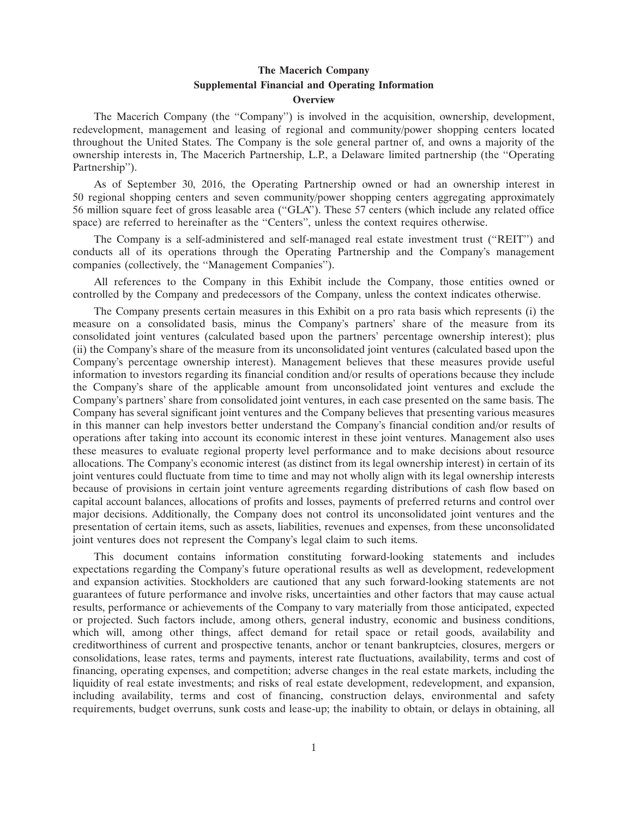## **The Macerich Company Supplemental Financial and Operating Information Overview**

The Macerich Company (the ''Company'') is involved in the acquisition, ownership, development, redevelopment, management and leasing of regional and community/power shopping centers located throughout the United States. The Company is the sole general partner of, and owns a majority of the ownership interests in, The Macerich Partnership, L.P., a Delaware limited partnership (the ''Operating Partnership'').

As of September 30, 2016, the Operating Partnership owned or had an ownership interest in 50 regional shopping centers and seven community/power shopping centers aggregating approximately 56 million square feet of gross leasable area (''GLA''). These 57 centers (which include any related office space) are referred to hereinafter as the "Centers", unless the context requires otherwise.

The Company is a self-administered and self-managed real estate investment trust (''REIT'') and conducts all of its operations through the Operating Partnership and the Company's management companies (collectively, the ''Management Companies'').

All references to the Company in this Exhibit include the Company, those entities owned or controlled by the Company and predecessors of the Company, unless the context indicates otherwise.

The Company presents certain measures in this Exhibit on a pro rata basis which represents (i) the measure on a consolidated basis, minus the Company's partners' share of the measure from its consolidated joint ventures (calculated based upon the partners' percentage ownership interest); plus (ii) the Company's share of the measure from its unconsolidated joint ventures (calculated based upon the Company's percentage ownership interest). Management believes that these measures provide useful information to investors regarding its financial condition and/or results of operations because they include the Company's share of the applicable amount from unconsolidated joint ventures and exclude the Company's partners' share from consolidated joint ventures, in each case presented on the same basis. The Company has several significant joint ventures and the Company believes that presenting various measures in this manner can help investors better understand the Company's financial condition and/or results of operations after taking into account its economic interest in these joint ventures. Management also uses these measures to evaluate regional property level performance and to make decisions about resource allocations. The Company's economic interest (as distinct from its legal ownership interest) in certain of its joint ventures could fluctuate from time to time and may not wholly align with its legal ownership interests because of provisions in certain joint venture agreements regarding distributions of cash flow based on capital account balances, allocations of profits and losses, payments of preferred returns and control over major decisions. Additionally, the Company does not control its unconsolidated joint ventures and the presentation of certain items, such as assets, liabilities, revenues and expenses, from these unconsolidated joint ventures does not represent the Company's legal claim to such items.

This document contains information constituting forward-looking statements and includes expectations regarding the Company's future operational results as well as development, redevelopment and expansion activities. Stockholders are cautioned that any such forward-looking statements are not guarantees of future performance and involve risks, uncertainties and other factors that may cause actual results, performance or achievements of the Company to vary materially from those anticipated, expected or projected. Such factors include, among others, general industry, economic and business conditions, which will, among other things, affect demand for retail space or retail goods, availability and creditworthiness of current and prospective tenants, anchor or tenant bankruptcies, closures, mergers or consolidations, lease rates, terms and payments, interest rate fluctuations, availability, terms and cost of financing, operating expenses, and competition; adverse changes in the real estate markets, including the liquidity of real estate investments; and risks of real estate development, redevelopment, and expansion, including availability, terms and cost of financing, construction delays, environmental and safety requirements, budget overruns, sunk costs and lease-up; the inability to obtain, or delays in obtaining, all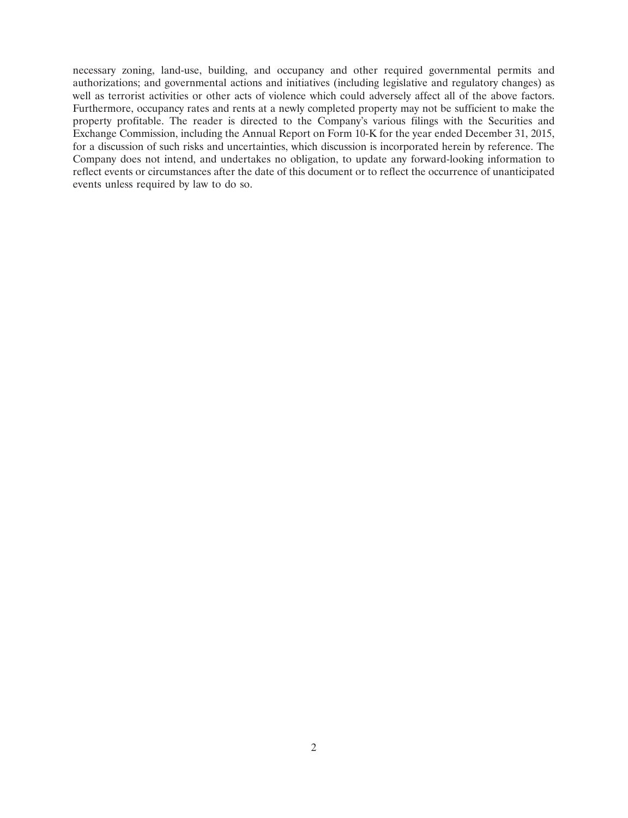necessary zoning, land-use, building, and occupancy and other required governmental permits and authorizations; and governmental actions and initiatives (including legislative and regulatory changes) as well as terrorist activities or other acts of violence which could adversely affect all of the above factors. Furthermore, occupancy rates and rents at a newly completed property may not be sufficient to make the property profitable. The reader is directed to the Company's various filings with the Securities and Exchange Commission, including the Annual Report on Form 10-K for the year ended December 31, 2015, for a discussion of such risks and uncertainties, which discussion is incorporated herein by reference. The Company does not intend, and undertakes no obligation, to update any forward-looking information to reflect events or circumstances after the date of this document or to reflect the occurrence of unanticipated events unless required by law to do so.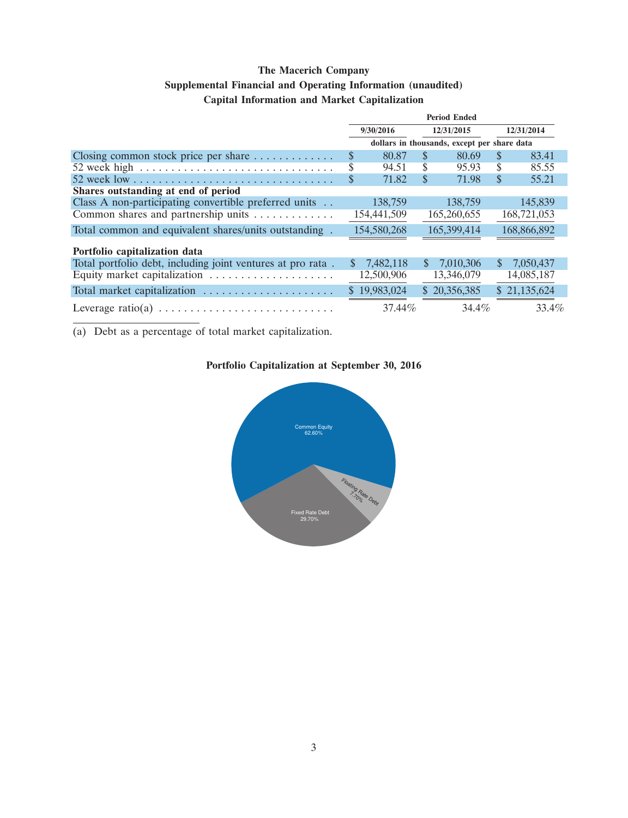# **Supplemental Financial and Operating Information (unaudited)**

# **Capital Information and Market Capitalization**

|                                                                               | <b>Period Ended</b> |              |               |                                             |               |              |
|-------------------------------------------------------------------------------|---------------------|--------------|---------------|---------------------------------------------|---------------|--------------|
|                                                                               |                     | 9/30/2016    |               | 12/31/2015                                  |               | 12/31/2014   |
|                                                                               |                     |              |               | dollars in thousands, except per share data |               |              |
| Closing common stock price per share $\dots \dots \dots$                      | \$                  | 80.87        | S.            | 80.69                                       | \$            | 83.41        |
| 52 week high $\ldots \ldots \ldots \ldots \ldots \ldots \ldots \ldots \ldots$ | \$                  | 94.51        | S             | 95.93                                       | \$            | 85.55        |
|                                                                               | S                   | 71.82        | S             | 71.98                                       | \$            | 55.21        |
| Shares outstanding at end of period                                           |                     |              |               |                                             |               |              |
| Class A non-participating convertible preferred units                         |                     | 138,759      |               | 138,759                                     |               | 145,839      |
| Common shares and partnership units                                           |                     | 154,441,509  |               | 165,260,655                                 |               | 168,721,053  |
| Total common and equivalent shares/units outstanding.                         |                     | 154,580,268  |               | 165,399,414                                 |               | 168,866,892  |
| Portfolio capitalization data                                                 |                     |              |               |                                             |               |              |
| Total portfolio debt, including joint ventures at pro rata.                   | \$                  | 7,482,118    | <sup>\$</sup> | 7,010,306                                   | <sup>\$</sup> | 7,050,437    |
| Equity market capitalization                                                  |                     | 12,500,906   |               | 13,346,079                                  |               | 14,085,187   |
| Total market capitalization                                                   |                     | \$19,983,024 |               | \$20,356,385                                |               | \$21,135,624 |
| Leverage ratio(a) $\dots \dots \dots \dots \dots \dots \dots \dots \dots$     |                     | $37.44\%$    |               | $34.4\%$                                    |               | 33.4%        |

(a) Debt as a percentage of total market capitalization.

# **Portfolio Capitalization at September 30, 2016**

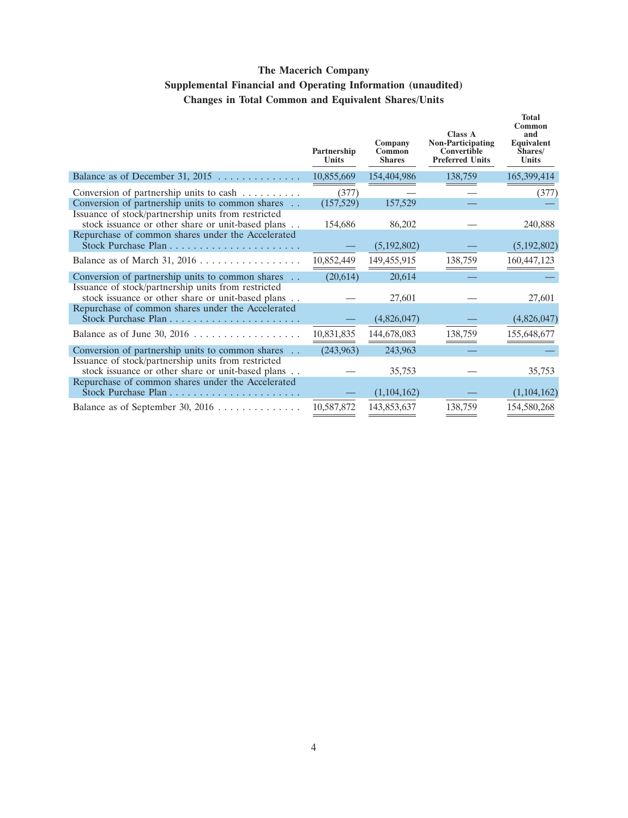# **The Macerich Company Supplemental Financial and Operating Information (unaudited) Changes in Total Common and Equivalent Shares/Units**

|                                                                                                                                                               | Partnership<br>Units | Company<br>Common<br><b>Shares</b> | Class A<br><b>Non-Participating</b><br><b>Convertible</b><br><b>Preferred Units</b> | <b>Total</b><br>Common<br>and<br>Equivalent<br>Shares/<br><b>Units</b> |
|---------------------------------------------------------------------------------------------------------------------------------------------------------------|----------------------|------------------------------------|-------------------------------------------------------------------------------------|------------------------------------------------------------------------|
| Balance as of December 31, $2015$                                                                                                                             | 10,855,669           | 154,404,986                        | 138,759                                                                             | 165,399,414                                                            |
| Conversion of partnership units to cash $\dots \dots$<br>Conversion of partnership units to common shares                                                     | (377)<br>(157, 529)  | 157,529                            |                                                                                     | (377)                                                                  |
| Issuance of stock/partnership units from restricted<br>stock issuance or other share or unit-based plans<br>Repurchase of common shares under the Accelerated | 154,686              | 86,202                             |                                                                                     | 240,888                                                                |
|                                                                                                                                                               |                      | (5,192,802)                        |                                                                                     | (5, 192, 802)                                                          |
|                                                                                                                                                               | 10,852,449           | 149, 455, 915                      | 138,759                                                                             | 160, 447, 123                                                          |
| Conversion of partnership units to common shares                                                                                                              | (20,614)             | 20,614                             |                                                                                     |                                                                        |
| Issuance of stock/partnership units from restricted<br>stock issuance or other share or unit-based plans                                                      |                      | 27,601                             |                                                                                     | 27,601                                                                 |
| Repurchase of common shares under the Accelerated                                                                                                             |                      | (4,826,047)                        |                                                                                     | (4,826,047)                                                            |
|                                                                                                                                                               | 10,831,835           | 144,678,083                        | 138,759                                                                             | 155,648,677                                                            |
| Conversion of partnership units to common shares                                                                                                              | (243,963)            | 243,963                            |                                                                                     |                                                                        |
| Issuance of stock/partnership units from restricted<br>stock issuance or other share or unit-based plans                                                      |                      | 35,753                             |                                                                                     | 35,753                                                                 |
| Repurchase of common shares under the Accelerated                                                                                                             |                      | (1,104,162)                        |                                                                                     | (1,104,162)                                                            |
| Balance as of September 30, 2016 $\dots \dots \dots \dots$                                                                                                    | 10,587,872           | 143,853,637                        | 138,759                                                                             | 154,580,268                                                            |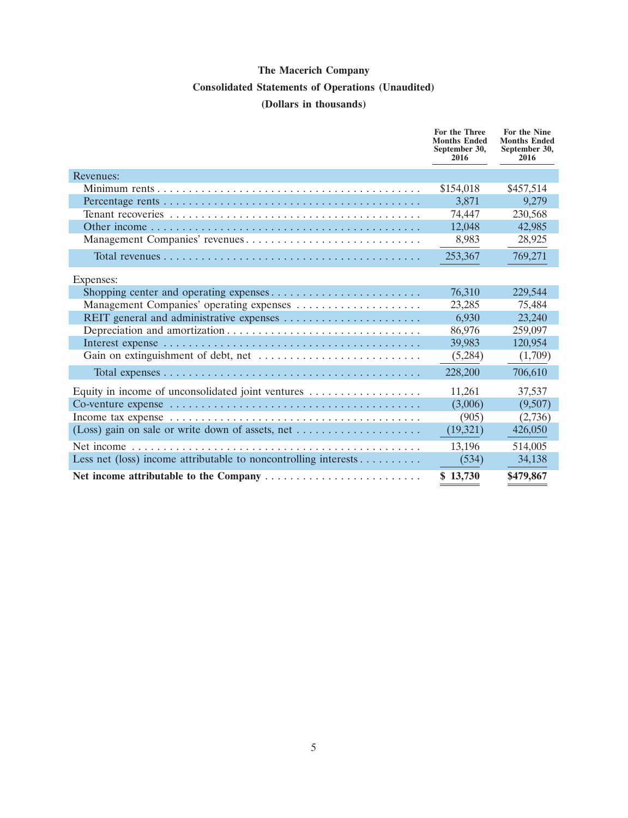# **The Macerich Company Consolidated Statements of Operations (Unaudited) (Dollars in thousands)**

|                                                                                        | For the Three<br><b>Months Ended</b><br>September 30,<br>2016 | <b>For the Nine</b><br><b>Months Ended</b><br>September 30,<br>2016 |
|----------------------------------------------------------------------------------------|---------------------------------------------------------------|---------------------------------------------------------------------|
| Revenues:                                                                              |                                                               |                                                                     |
|                                                                                        | \$154,018                                                     | \$457,514                                                           |
|                                                                                        | 3.871                                                         | 9,279                                                               |
|                                                                                        | 74,447                                                        | 230,568                                                             |
|                                                                                        | 12,048                                                        | 42,985                                                              |
| Management Companies' revenues                                                         | 8,983                                                         | 28,925                                                              |
|                                                                                        | 253,367                                                       | 769,271                                                             |
| Expenses:                                                                              |                                                               |                                                                     |
|                                                                                        | 76,310                                                        | 229,544                                                             |
| Management Companies' operating expenses                                               | 23,285                                                        | 75,484                                                              |
| REIT general and administrative expenses                                               | 6,930                                                         | 23,240                                                              |
|                                                                                        | 86,976                                                        | 259,097                                                             |
|                                                                                        | 39,983                                                        | 120,954                                                             |
|                                                                                        | (5,284)                                                       | (1,709)                                                             |
|                                                                                        | 228,200                                                       | 706,610                                                             |
| Equity in income of unconsolidated joint ventures                                      | 11,261                                                        | 37,537                                                              |
|                                                                                        | (3,006)                                                       | (9,507)                                                             |
|                                                                                        | (905)                                                         | (2,736)                                                             |
| (Loss) gain on sale or write down of assets, net $\dots \dots \dots \dots \dots \dots$ | (19, 321)                                                     | 426,050                                                             |
|                                                                                        | 13,196                                                        | 514,005                                                             |
| Less net (loss) income attributable to noncontrolling interests                        | (534)                                                         | 34,138                                                              |
| Net income attributable to the Company                                                 | \$13,730                                                      | \$479,867                                                           |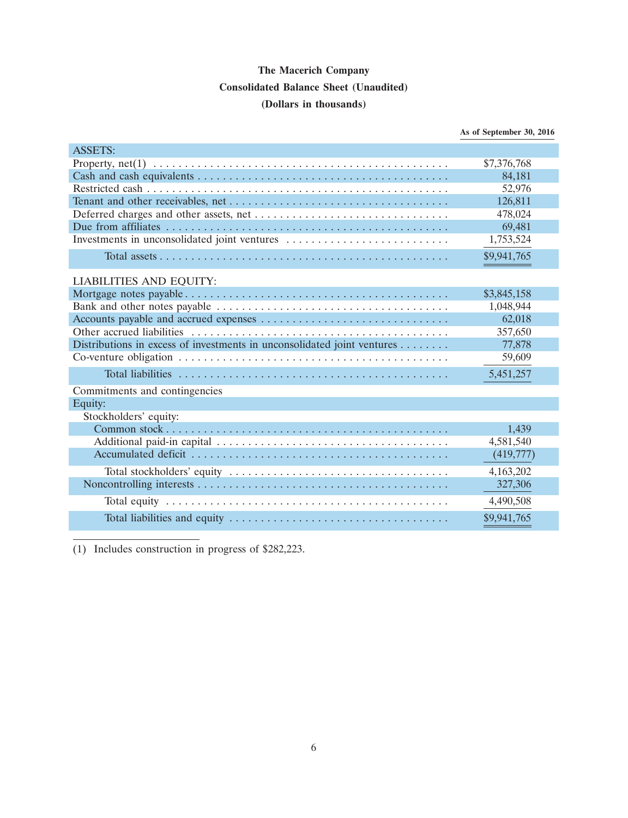# **The Macerich Company Consolidated Balance Sheet (Unaudited) (Dollars in thousands)**

**As of September 30, 2016**

| <b>ASSETS:</b>                                                          |             |
|-------------------------------------------------------------------------|-------------|
|                                                                         | \$7,376,768 |
|                                                                         | 84,181      |
|                                                                         | 52,976      |
|                                                                         | 126,811     |
|                                                                         | 478,024     |
|                                                                         | 69,481      |
| Investments in unconsolidated joint ventures                            | 1,753,524   |
|                                                                         | \$9,941,765 |
| <b>LIABILITIES AND EQUITY:</b>                                          |             |
|                                                                         | \$3,845,158 |
|                                                                         | 1,048,944   |
|                                                                         | 62,018      |
|                                                                         | 357,650     |
| Distributions in excess of investments in unconsolidated joint ventures | 77,878      |
|                                                                         | 59,609      |
|                                                                         | 5,451,257   |
| Commitments and contingencies                                           |             |
| Equity:                                                                 |             |
| Stockholders' equity:                                                   |             |
|                                                                         | 1,439       |
|                                                                         | 4,581,540   |
|                                                                         | (419,777)   |
|                                                                         | 4,163,202   |
|                                                                         | 327,306     |
|                                                                         | 4,490,508   |
|                                                                         | \$9,941,765 |

(1) Includes construction in progress of \$282,223.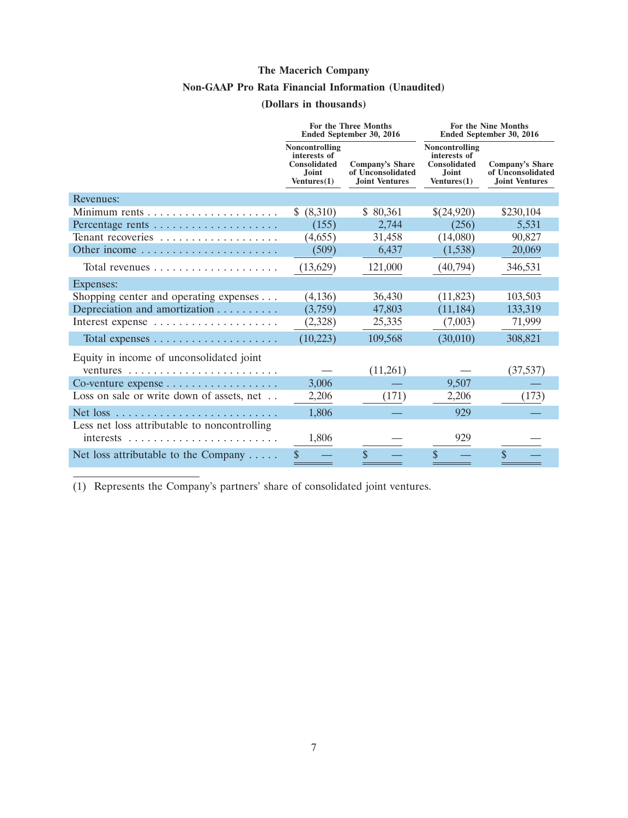## **Non-GAAP Pro Rata Financial Information (Unaudited)**

## **(Dollars in thousands)**

|                                                                                                              |                                                                                      | <b>For the Three Months</b><br>Ended September 30, 2016              | <b>For the Nine Months</b><br>Ended September 30, 2016                               |                                                                      |  |
|--------------------------------------------------------------------------------------------------------------|--------------------------------------------------------------------------------------|----------------------------------------------------------------------|--------------------------------------------------------------------------------------|----------------------------------------------------------------------|--|
|                                                                                                              | Noncontrolling<br>interests of<br><b>Consolidated</b><br><b>Joint</b><br>Ventures(1) | <b>Company's Share</b><br>of Unconsolidated<br><b>Joint Ventures</b> | Noncontrolling<br>interests of<br><b>Consolidated</b><br><b>Joint</b><br>Ventures(1) | <b>Company's Share</b><br>of Unconsolidated<br><b>Joint Ventures</b> |  |
| Revenues:                                                                                                    |                                                                                      |                                                                      |                                                                                      |                                                                      |  |
|                                                                                                              | \$ (8,310)                                                                           | \$ 80,361                                                            | \$(24,920)                                                                           | \$230,104                                                            |  |
|                                                                                                              | (155)                                                                                | 2,744                                                                | (256)                                                                                | 5,531                                                                |  |
| Tenant recoveries                                                                                            | (4,655)                                                                              | 31,458                                                               | (14,080)                                                                             | 90,827                                                               |  |
| Other income                                                                                                 | (509)                                                                                | 6,437                                                                | (1,538)                                                                              | 20,069                                                               |  |
|                                                                                                              | (13, 629)                                                                            | 121,000                                                              | (40, 794)                                                                            | 346,531                                                              |  |
| Expenses:                                                                                                    |                                                                                      |                                                                      |                                                                                      |                                                                      |  |
| Shopping center and operating expenses                                                                       | (4, 136)                                                                             | 36,430                                                               | (11, 823)                                                                            | 103,503                                                              |  |
| Depreciation and amortization                                                                                | (3,759)                                                                              | 47,803                                                               | (11, 184)                                                                            | 133,319                                                              |  |
| Interest expense                                                                                             | (2,328)                                                                              | 25,335                                                               | (7,003)                                                                              | 71,999                                                               |  |
|                                                                                                              | (10, 223)                                                                            | 109,568                                                              | (30,010)                                                                             | 308,821                                                              |  |
| Equity in income of unconsolidated joint                                                                     |                                                                                      |                                                                      |                                                                                      |                                                                      |  |
|                                                                                                              |                                                                                      | (11,261)                                                             |                                                                                      | (37, 537)                                                            |  |
|                                                                                                              | 3,006                                                                                |                                                                      | 9,507                                                                                |                                                                      |  |
| Loss on sale or write down of assets, net                                                                    | 2,206                                                                                | (171)                                                                | 2,206                                                                                | (173)                                                                |  |
| Net loss                                                                                                     | 1,806                                                                                |                                                                      | 929                                                                                  |                                                                      |  |
| Less net loss attributable to noncontrolling<br>interests $\ldots \ldots \ldots \ldots \ldots \ldots \ldots$ | 1,806                                                                                |                                                                      | 929                                                                                  |                                                                      |  |
| Net loss attributable to the Company $\dots$ .                                                               | \$                                                                                   | \$                                                                   | \$                                                                                   | \$                                                                   |  |

(1) Represents the Company's partners' share of consolidated joint ventures.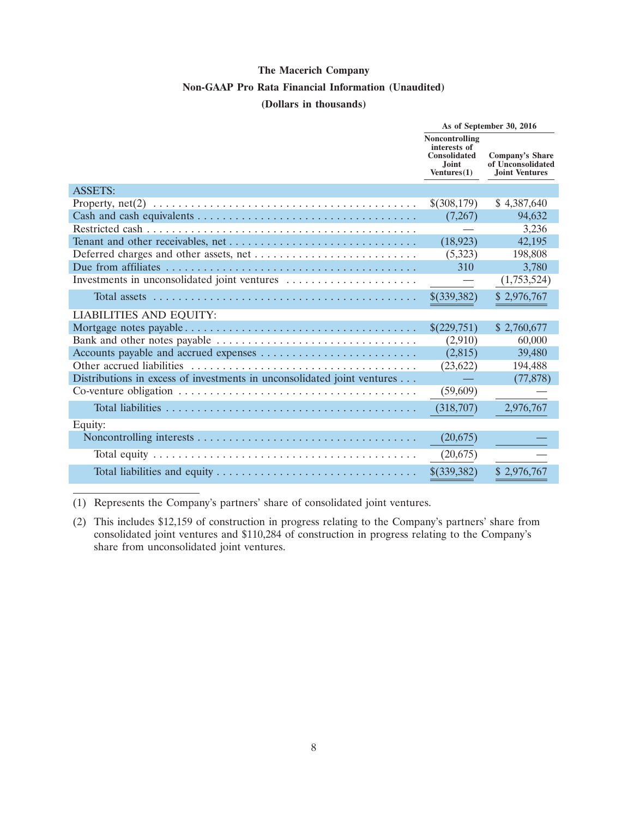### **Non-GAAP Pro Rata Financial Information (Unaudited)**

### **(Dollars in thousands)**

|                                                                         | As of September 30, 2016                                                      |                                                                      |
|-------------------------------------------------------------------------|-------------------------------------------------------------------------------|----------------------------------------------------------------------|
|                                                                         | Noncontrolling<br>interests of<br><b>Consolidated</b><br>Joint<br>Ventures(1) | <b>Company's Share</b><br>of Unconsolidated<br><b>Joint Ventures</b> |
| <b>ASSETS:</b>                                                          |                                                                               |                                                                      |
|                                                                         | \$(308,179)                                                                   | \$4,387,640                                                          |
|                                                                         | (7,267)                                                                       | 94,632                                                               |
|                                                                         |                                                                               | 3,236                                                                |
|                                                                         | (18, 923)                                                                     | 42,195                                                               |
|                                                                         | (5,323)                                                                       | 198,808                                                              |
|                                                                         | 310                                                                           | 3,780                                                                |
|                                                                         |                                                                               | (1,753,524)                                                          |
|                                                                         | \$(339,382)                                                                   | \$2,976,767                                                          |
| <b>LIABILITIES AND EQUITY:</b>                                          |                                                                               |                                                                      |
|                                                                         | \$(229,751)                                                                   | \$2,760,677                                                          |
|                                                                         | (2,910)                                                                       | 60,000                                                               |
| Accounts payable and accrued expenses                                   | (2,815)                                                                       | 39,480                                                               |
|                                                                         | (23, 622)                                                                     | 194,488                                                              |
| Distributions in excess of investments in unconsolidated joint ventures |                                                                               | (77, 878)                                                            |
|                                                                         | (59,609)                                                                      |                                                                      |
|                                                                         | (318,707)                                                                     | 2,976,767                                                            |
| Equity:                                                                 |                                                                               |                                                                      |
|                                                                         | (20,675)                                                                      |                                                                      |
|                                                                         | (20,675)                                                                      |                                                                      |
|                                                                         | \$(339,382)                                                                   | \$2,976,767                                                          |

(1) Represents the Company's partners' share of consolidated joint ventures.

(2) This includes \$12,159 of construction in progress relating to the Company's partners' share from consolidated joint ventures and \$110,284 of construction in progress relating to the Company's share from unconsolidated joint ventures.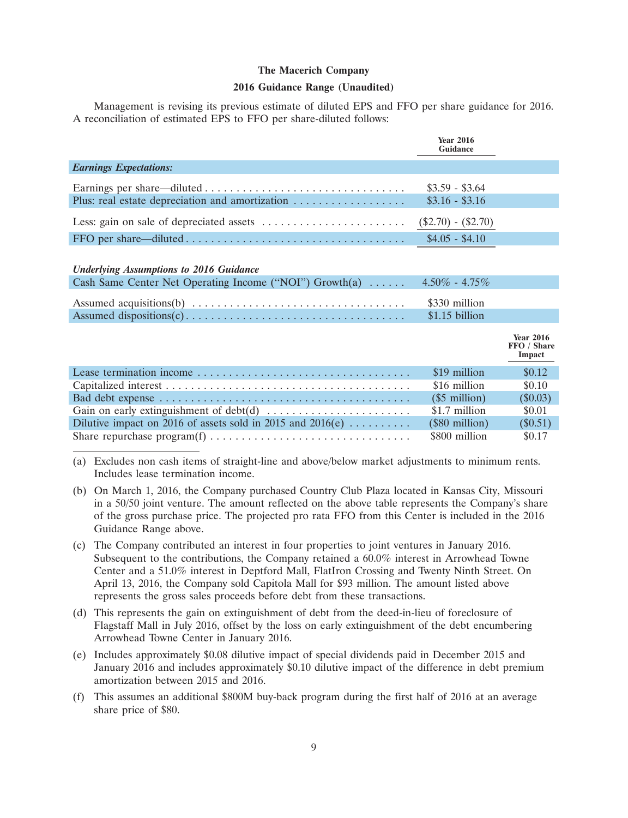### **2016 Guidance Range (Unaudited)**

Management is revising its previous estimate of diluted EPS and FFO per share guidance for 2016. A reconciliation of estimated EPS to FFO per share-diluted follows:

|                                                                                                    | <b>Year 2016</b><br>Guidance |  |
|----------------------------------------------------------------------------------------------------|------------------------------|--|
| <b>Earnings Expectations:</b>                                                                      |                              |  |
|                                                                                                    | $$3.59 - $3.64$              |  |
|                                                                                                    | $$3.16 - $3.16$              |  |
| Less: gain on sale of depreciated assets $\dots \dots \dots \dots \dots \dots$ (\$2.70) - (\$2.70) |                              |  |
|                                                                                                    | $$4.05 - $4.10$              |  |

### *Underlying Assumptions to 2016 Guidance*

| Cash Same Center Net Operating Income ("NOI") Growth(a) $\ldots$ 4.50% - 4.75% |                |
|--------------------------------------------------------------------------------|----------------|
|                                                                                | \$330 million  |
|                                                                                | \$1.15 billion |

|                                                            |                 | <b>Year 2016</b><br>FFO / Share<br>Impact |
|------------------------------------------------------------|-----------------|-------------------------------------------|
|                                                            | \$19 million    | \$0.12                                    |
|                                                            | \$16 million    | \$0.10                                    |
|                                                            | $($5$ million)  | (\$0.03)                                  |
|                                                            | \$1.7 million   | \$0.01                                    |
| Dilutive impact on 2016 of assets sold in 2015 and 2016(e) | $($80$ million) | (\$0.51)                                  |
|                                                            | \$800 million   | \$0.17                                    |

(a) Excludes non cash items of straight-line and above/below market adjustments to minimum rents. Includes lease termination income.

- (b) On March 1, 2016, the Company purchased Country Club Plaza located in Kansas City, Missouri in a 50/50 joint venture. The amount reflected on the above table represents the Company's share of the gross purchase price. The projected pro rata FFO from this Center is included in the 2016 Guidance Range above.
- (c) The Company contributed an interest in four properties to joint ventures in January 2016. Subsequent to the contributions, the Company retained a 60.0% interest in Arrowhead Towne Center and a 51.0% interest in Deptford Mall, FlatIron Crossing and Twenty Ninth Street. On April 13, 2016, the Company sold Capitola Mall for \$93 million. The amount listed above represents the gross sales proceeds before debt from these transactions.
- (d) This represents the gain on extinguishment of debt from the deed-in-lieu of foreclosure of Flagstaff Mall in July 2016, offset by the loss on early extinguishment of the debt encumbering Arrowhead Towne Center in January 2016.
- (e) Includes approximately \$0.08 dilutive impact of special dividends paid in December 2015 and January 2016 and includes approximately \$0.10 dilutive impact of the difference in debt premium amortization between 2015 and 2016.
- (f) This assumes an additional \$800M buy-back program during the first half of 2016 at an average share price of \$80.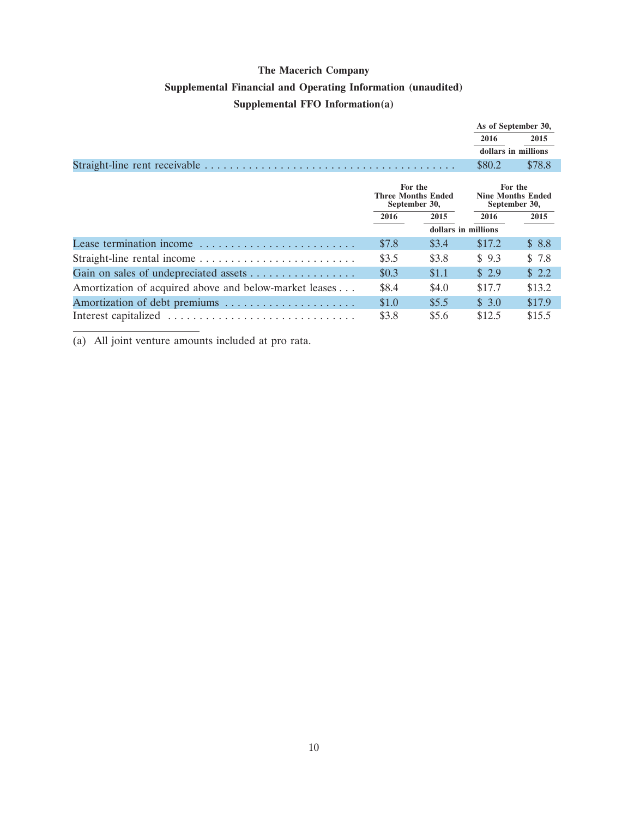# **The Macerich Company Supplemental Financial and Operating Information (unaudited) Supplemental FFO Information(a)**

|                                                        |         |                                                       | As of September 30, |                                                      |
|--------------------------------------------------------|---------|-------------------------------------------------------|---------------------|------------------------------------------------------|
|                                                        |         |                                                       | 2016                | 2015                                                 |
|                                                        |         |                                                       |                     | dollars in millions                                  |
|                                                        |         |                                                       | \$80.2              | \$78.8                                               |
|                                                        |         | For the<br><b>Three Months Ended</b><br>September 30, |                     | For the<br><b>Nine Months Ended</b><br>September 30, |
|                                                        | 2016    | 2015                                                  | 2016                | 2015                                                 |
|                                                        |         | dollars in millions                                   |                     |                                                      |
| Lease termination income                               | \$7.8   | \$3.4                                                 | \$17.2              | \$8.8                                                |
|                                                        | \$3.5   | \$3.8                                                 | \$9.3               | \$ 7.8                                               |
|                                                        | \$0.3\$ | \$1.1                                                 | \$2.9               | \$2.2                                                |
| Amortization of acquired above and below-market leases | \$8.4   | \$4.0                                                 | \$17.7              | \$13.2                                               |
| Amortization of debt premiums                          | \$1.0   | \$5.5                                                 | \$3.0               | \$17.9                                               |
| Interest capitalized                                   | \$3.8   | \$5.6                                                 | \$12.5              | \$15.5                                               |

(a) All joint venture amounts included at pro rata.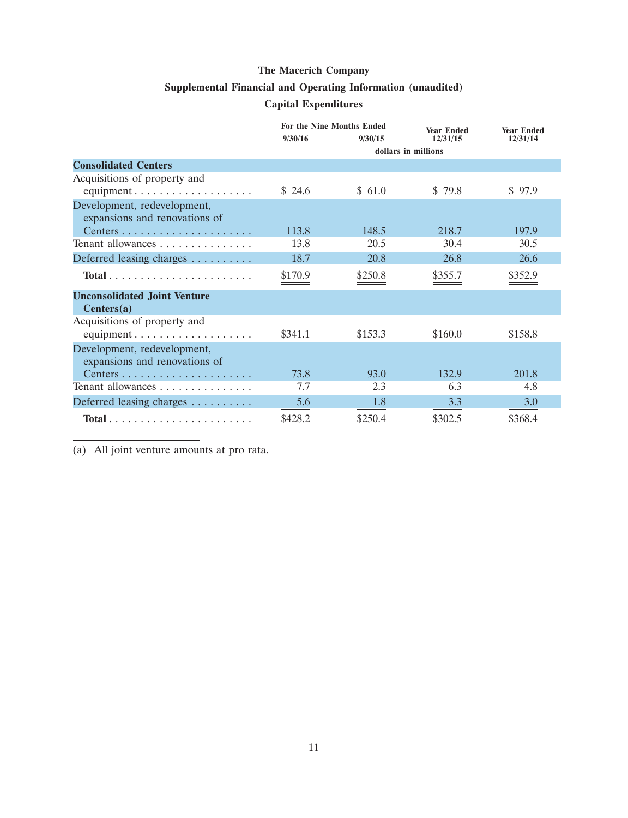# **Supplemental Financial and Operating Information (unaudited)**

# **Capital Expenditures**

|                                     |         | For the Nine Months Ended | <b>Year Ended</b>   | <b>Year Ended</b> |  |
|-------------------------------------|---------|---------------------------|---------------------|-------------------|--|
|                                     | 9/30/16 | 9/30/15                   | 12/31/15            | 12/31/14          |  |
|                                     |         |                           | dollars in millions |                   |  |
| <b>Consolidated Centers</b>         |         |                           |                     |                   |  |
| Acquisitions of property and        |         |                           |                     |                   |  |
|                                     | \$24.6  | \$61.0                    | \$79.8              | \$97.9            |  |
| Development, redevelopment,         |         |                           |                     |                   |  |
| expansions and renovations of       |         |                           |                     |                   |  |
| Centers                             | 113.8   | 148.5                     | 218.7               | 197.9             |  |
| Tenant allowances                   | 13.8    | 20.5                      | 30.4                | 30.5              |  |
| Deferred leasing charges            | 18.7    | 20.8                      | 26.8                | 26.6              |  |
|                                     | \$170.9 | \$250.8                   | \$355.7             | \$352.9           |  |
| <b>Unconsolidated Joint Venture</b> |         |                           |                     |                   |  |
| Centers(a)                          |         |                           |                     |                   |  |
| Acquisitions of property and        |         |                           |                     |                   |  |
|                                     | \$341.1 | \$153.3                   | \$160.0             | \$158.8           |  |
| Development, redevelopment,         |         |                           |                     |                   |  |
| expansions and renovations of       |         |                           |                     |                   |  |
| Centers                             | 73.8    | 93.0                      | 132.9               | 201.8             |  |
| Tenant allowances                   | 7.7     | 2.3                       | 6.3                 | 4.8               |  |
| Deferred leasing charges            | 5.6     | 1.8                       | 3.3                 | 3.0               |  |
|                                     | \$428.2 | \$250.4                   | \$302.5             | \$368.4           |  |

(a) All joint venture amounts at pro rata.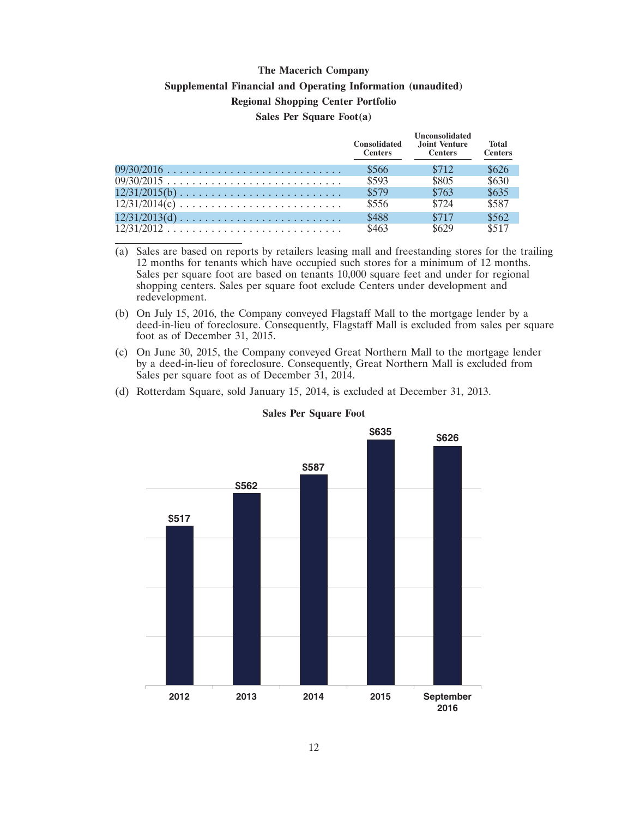#### **Supplemental Financial and Operating Information (unaudited)**

#### **Regional Shopping Center Portfolio**

#### **Sales Per Square Foot(a)**

|                 | Consolidated<br><b>Centers</b> | <b>Unconsolidated</b><br>Joint Venture<br><b>Centers</b> | <b>Total</b><br><b>Centers</b> |
|-----------------|--------------------------------|----------------------------------------------------------|--------------------------------|
|                 | \$566                          | \$712                                                    | \$626                          |
| $09/30/2015$    | \$593                          | \$805                                                    | \$630                          |
| $12/31/2015(b)$ | \$579                          | \$763                                                    | \$635                          |
|                 | \$556                          | \$724                                                    | \$587                          |
|                 | \$488                          | \$717                                                    | \$562                          |
| $12/31/2012$    | \$463                          | \$629                                                    | \$517                          |

(a) Sales are based on reports by retailers leasing mall and freestanding stores for the trailing 12 months for tenants which have occupied such stores for a minimum of 12 months. Sales per square foot are based on tenants 10,000 square feet and under for regional shopping centers. Sales per square foot exclude Centers under development and redevelopment.

- (b) On July 15, 2016, the Company conveyed Flagstaff Mall to the mortgage lender by a deed-in-lieu of foreclosure. Consequently, Flagstaff Mall is excluded from sales per square foot as of December 31, 2015.
- (c) On June 30, 2015, the Company conveyed Great Northern Mall to the mortgage lender by a deed-in-lieu of foreclosure. Consequently, Great Northern Mall is excluded from Sales per square foot as of December 31, 2014.
- (d) Rotterdam Square, sold January 15, 2014, is excluded at December 31, 2013.



#### **Sales Per Square Foot**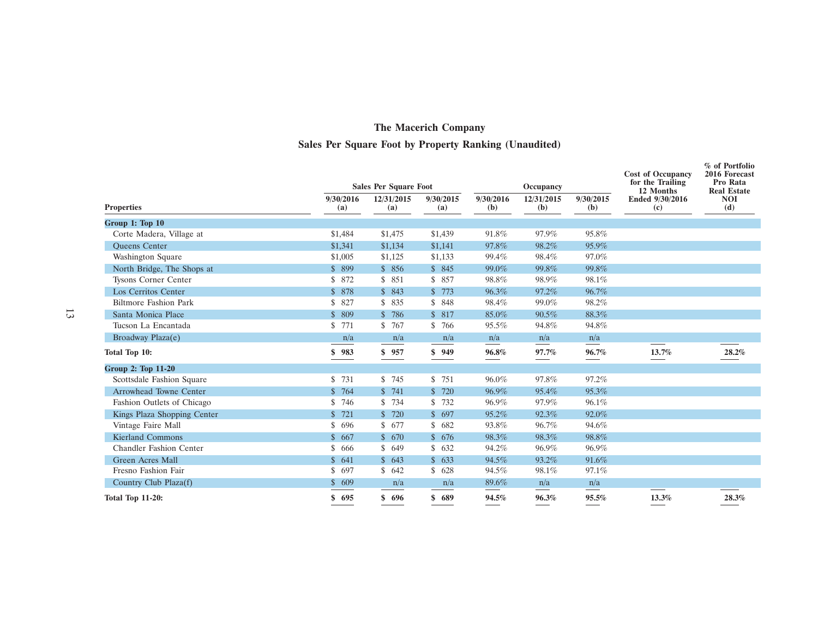# **The Macerich Company Sales Per Square Foot by Property Ranking (Unaudited)**

|                               | <b>Sales Per Square Foot</b> |                   |                  | Occupancy        |                   |                  | <b>Cost of Occupancy</b><br>for the Trailing | % of Portfolio<br>2016 Forecast<br>Pro Rata |
|-------------------------------|------------------------------|-------------------|------------------|------------------|-------------------|------------------|----------------------------------------------|---------------------------------------------|
| <b>Properties</b>             | 9/30/2016<br>(a)             | 12/31/2015<br>(a) | 9/30/2015<br>(a) | 9/30/2016<br>(b) | 12/31/2015<br>(b) | 9/30/2015<br>(b) | 12 Months<br>Ended 9/30/2016<br>(c)          | <b>Real Estate</b><br><b>NOI</b><br>(d)     |
| Group 1: Top 10               |                              |                   |                  |                  |                   |                  |                                              |                                             |
| Corte Madera, Village at      | \$1,484                      | \$1,475           | \$1,439          | 91.8%            | 97.9%             | 95.8%            |                                              |                                             |
| <b>Oueens</b> Center          | \$1,341                      | \$1,134           | \$1,141          | 97.8%            | 98.2%             | 95.9%            |                                              |                                             |
| Washington Square             | \$1,005                      | \$1,125           | \$1,133          | 99.4%            | 98.4%             | 97.0%            |                                              |                                             |
| North Bridge, The Shops at    | \$ 899                       | \$856             | \$845            | 99.0%            | 99.8%             | 99.8%            |                                              |                                             |
| Tysons Corner Center          | 872<br>\$                    | \$851             | \$857            | 98.8%            | 98.9%             | 98.1%            |                                              |                                             |
| Los Cerritos Center           | 878<br>$\mathbf{s}$          | \$843             | \$773            | 96.3%            | 97.2%             | 96.7%            |                                              |                                             |
| <b>Biltmore Fashion Park</b>  | 827<br>\$                    | \$835             | \$848            | 98.4%            | 99.0%             | 98.2%            |                                              |                                             |
| Santa Monica Place            | \$809                        | \$786             | \$817            | 85.0%            | $90.5\%$          | 88.3%            |                                              |                                             |
| Tucson La Encantada           | \$ 771                       | \$767             | \$ 766           | 95.5%            | 94.8%             | 94.8%            |                                              |                                             |
| Broadway Plaza(e)             | n/a                          | n/a               | n/a              | n/a              | n/a               | n/a              |                                              |                                             |
| Total Top 10:                 | 983                          | \$<br>957         | \$949            | 96.8%            | 97.7%             | 96.7%            | 13.7%                                        | 28.2%                                       |
| <b>Group 2: Top 11-20</b>     |                              |                   |                  |                  |                   |                  |                                              |                                             |
| Scottsdale Fashion Square     | \$731                        | \$745             | \$751            | 96.0%            | 97.8%             | 97.2%            |                                              |                                             |
| <b>Arrowhead Towne Center</b> | \$764                        | \$741             | \$720            | 96.9%            | 95.4%             | 95.3%            |                                              |                                             |
| Fashion Outlets of Chicago    | 746<br>\$                    | \$<br>734         | \$732            | 96.9%            | 97.9%             | 96.1%            |                                              |                                             |
| Kings Plaza Shopping Center   | \$721                        | \$720             | \$697            | 95.2%            | 92.3%             | 92.0%            |                                              |                                             |
| Vintage Faire Mall            | 696<br>\$.                   | \$677             | \$682            | 93.8%            | 96.7%             | 94.6%            |                                              |                                             |
| Kierland Commons              | \$667                        | \$670             | \$676            | 98.3%            | 98.3%             | 98.8%            |                                              |                                             |
| Chandler Fashion Center       | \$<br>666                    | \$<br>649         | \$632            | 94.2%            | 96.9%             | 96.9%            |                                              |                                             |
| Green Acres Mall              | \$<br>641                    | \$643             | \$633            | 94.5%            | 93.2%             | 91.6%            |                                              |                                             |
| Fresno Fashion Fair           | 697<br>\$                    | \$642             | \$628            | 94.5%            | 98.1%             | 97.1%            |                                              |                                             |
| Country Club Plaza(f)         | \$609                        | n/a               | n/a              | 89.6%            | n/a               | n/a              |                                              |                                             |
| <b>Total Top 11-20:</b>       | 695<br>\$                    | 696<br>\$         | \$689            | 94.5%            | 96.3%             | 95.5%            | 13.3%                                        | 28.3%                                       |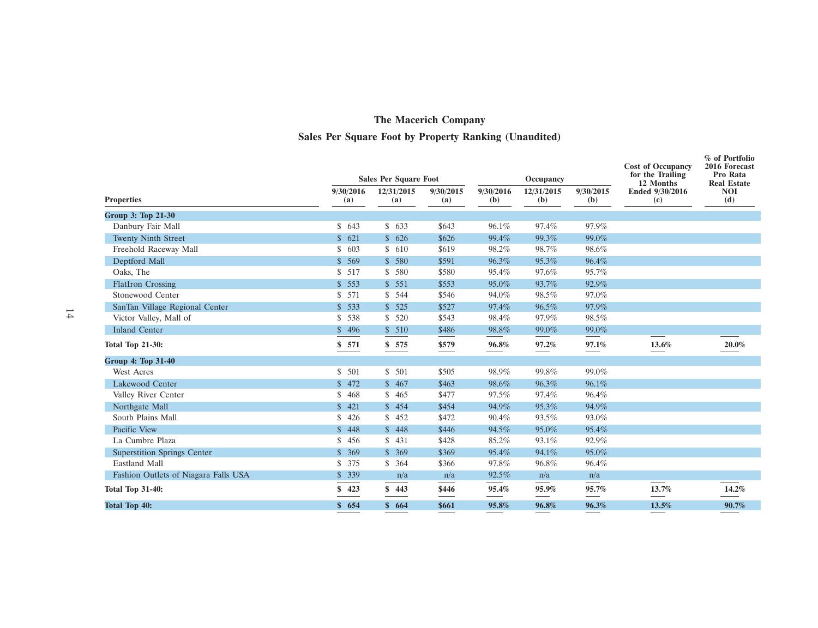# **The Macerich Company Sales Per Square Foot by Property Ranking (Unaudited)**

|                                      | <b>Sales Per Square Foot</b> |                   |                  | Occupancy        |                   |                           | <b>Cost of Occupancy</b><br>for the Trailing | % of Portfolio<br>2016 Forecast<br>Pro Rata |  |
|--------------------------------------|------------------------------|-------------------|------------------|------------------|-------------------|---------------------------|----------------------------------------------|---------------------------------------------|--|
| <b>Properties</b>                    | 9/30/2016<br>(a)             | 12/31/2015<br>(a) | 9/30/2015<br>(a) | 9/30/2016<br>(b) | 12/31/2015<br>(b) | 9/30/2015<br>( <b>b</b> ) | 12 Months<br>Ended 9/30/2016<br>(c)          | <b>Real Estate</b><br><b>NOI</b><br>(d)     |  |
| Group 3: Top 21-30                   |                              |                   |                  |                  |                   |                           |                                              |                                             |  |
| Danbury Fair Mall                    | \$643                        | \$633             | \$643            | 96.1%            | 97.4%             | 97.9%                     |                                              |                                             |  |
| <b>Twenty Ninth Street</b>           | \$621                        | \$626             | \$626            | 99.4%            | 99.3%             | 99.0%                     |                                              |                                             |  |
| Freehold Raceway Mall                | \$603                        | \$610             | \$619            | 98.2%            | 98.7%             | 98.6%                     |                                              |                                             |  |
| Deptford Mall                        | \$569                        | \$580             | \$591            | 96.3%            | 95.3%             | 96.4%                     |                                              |                                             |  |
| Oaks, The                            | \$517                        | \$ 580            | \$580            | 95.4%            | 97.6%             | 95.7%                     |                                              |                                             |  |
| <b>FlatIron Crossing</b>             | \$553                        | \$551             | \$553            | 95.0%            | 93.7%             | 92.9%                     |                                              |                                             |  |
| Stonewood Center                     | \$571                        | \$544             | \$546            | 94.0%            | 98.5%             | 97.0%                     |                                              |                                             |  |
| SanTan Village Regional Center       | \$533                        | \$525             | \$527            | 97.4%            | 96.5%             | 97.9%                     |                                              |                                             |  |
| Victor Valley, Mall of               | \$538                        | \$520             | \$543            | 98.4%            | 97.9%             | 98.5%                     |                                              |                                             |  |
| <b>Inland Center</b>                 | \$496                        | \$510             | \$486            | 98.8%            | 99.0%             | 99.0%                     |                                              |                                             |  |
| <b>Total Top 21-30:</b>              | \$571                        | \$575             | \$579            | 96.8%            | 97.2%             | 97.1%                     | 13.6%                                        | 20.0%                                       |  |
| <b>Group 4: Top 31-40</b>            |                              |                   |                  |                  |                   |                           |                                              |                                             |  |
| West Acres                           | \$501                        | \$ 501            | \$505            | 98.9%            | 99.8%             | 99.0%                     |                                              |                                             |  |
| Lakewood Center                      | \$472                        | \$467             | \$463            | 98.6%            | 96.3%             | 96.1%                     |                                              |                                             |  |
| Valley River Center                  | \$468                        | \$465             | \$477            | 97.5%            | 97.4%             | 96.4%                     |                                              |                                             |  |
| Northgate Mall                       | \$421                        | \$454             | \$454            | 94.9%            | 95.3%             | 94.9%                     |                                              |                                             |  |
| South Plains Mall                    | \$426                        | \$452             | \$472            | 90.4%            | 93.5%             | 93.0%                     |                                              |                                             |  |
| Pacific View                         | \$448                        | \$448             | \$446            | 94.5%            | 95.0%             | 95.4%                     |                                              |                                             |  |
| La Cumbre Plaza                      | \$456                        | \$431             | \$428            | 85.2%            | 93.1%             | 92.9%                     |                                              |                                             |  |
| <b>Superstition Springs Center</b>   | \$369                        | \$369             | \$369            | 95.4%            | 94.1%             | 95.0%                     |                                              |                                             |  |
| <b>Eastland Mall</b>                 | \$375                        | \$364             | \$366            | 97.8%            | 96.8%             | 96.4%                     |                                              |                                             |  |
| Fashion Outlets of Niagara Falls USA | \$339                        | n/a               | n/a              | 92.5%            | n/a               | n/a                       |                                              |                                             |  |
| <b>Total Top 31-40:</b>              | \$423                        | \$443             | \$446            | 95.4%            | 95.9%             | 95.7%                     | 13.7%                                        | 14.2%                                       |  |
| <b>Total Top 40:</b>                 | \$654                        | \$664             | \$661            | 95.8%            | 96.8%             | 96.3%                     | 13.5%                                        | 90.7%                                       |  |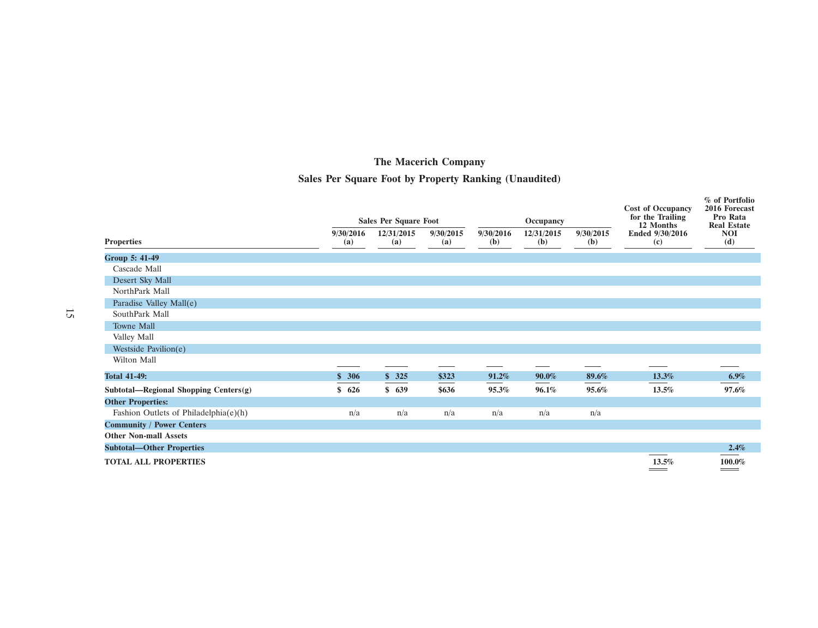# **The Macerich Company Sales Per Square Foot by Property Ranking (Unaudited)**

|                                          |                  | <b>Sales Per Square Foot</b> |                  |                  | Occupancy         |                  | <b>Cost of Occupancy</b><br>for the Trailing<br>12 Months | % of Portfolio<br>2016 Forecast<br>Pro Rata<br><b>Real Estate</b> |
|------------------------------------------|------------------|------------------------------|------------------|------------------|-------------------|------------------|-----------------------------------------------------------|-------------------------------------------------------------------|
| <b>Properties</b>                        | 9/30/2016<br>(a) | 12/31/2015<br>(a)            | 9/30/2015<br>(a) | 9/30/2016<br>(b) | 12/31/2015<br>(b) | 9/30/2015<br>(b) | Ended 9/30/2016<br>(c)                                    | <b>NOI</b><br>(d)                                                 |
| Group 5: 41-49                           |                  |                              |                  |                  |                   |                  |                                                           |                                                                   |
| Cascade Mall                             |                  |                              |                  |                  |                   |                  |                                                           |                                                                   |
| Desert Sky Mall                          |                  |                              |                  |                  |                   |                  |                                                           |                                                                   |
| NorthPark Mall                           |                  |                              |                  |                  |                   |                  |                                                           |                                                                   |
| Paradise Valley Mall(e)                  |                  |                              |                  |                  |                   |                  |                                                           |                                                                   |
| SouthPark Mall                           |                  |                              |                  |                  |                   |                  |                                                           |                                                                   |
| <b>Towne Mall</b>                        |                  |                              |                  |                  |                   |                  |                                                           |                                                                   |
| Valley Mall                              |                  |                              |                  |                  |                   |                  |                                                           |                                                                   |
| Westside Pavilion(e)                     |                  |                              |                  |                  |                   |                  |                                                           |                                                                   |
| Wilton Mall                              |                  |                              |                  |                  |                   |                  |                                                           |                                                                   |
| <b>Total 41-49:</b>                      | \$306            | \$325                        | \$323            | 91.2%            | 90.0%             | 89.6%            | 13.3%                                                     | $6.9\%$                                                           |
| Subtotal—Regional Shopping Centers(g)    | \$626            | \$639                        | \$636            | 95.3%            | 96.1%             | 95.6%            | 13.5%                                                     | 97.6%                                                             |
| <b>Other Properties:</b>                 |                  |                              |                  |                  |                   |                  |                                                           |                                                                   |
| Fashion Outlets of Philadelphia $(e)(h)$ | n/a              | n/a                          | n/a              | n/a              | n/a               | n/a              |                                                           |                                                                   |
| <b>Community / Power Centers</b>         |                  |                              |                  |                  |                   |                  |                                                           |                                                                   |
| <b>Other Non-mall Assets</b>             |                  |                              |                  |                  |                   |                  |                                                           |                                                                   |
| <b>Subtotal-Other Properties</b>         |                  |                              |                  |                  |                   |                  |                                                           | 2.4%                                                              |
| <b>TOTAL ALL PROPERTIES</b>              |                  |                              |                  |                  |                   |                  | 13.5%                                                     | 100.0%                                                            |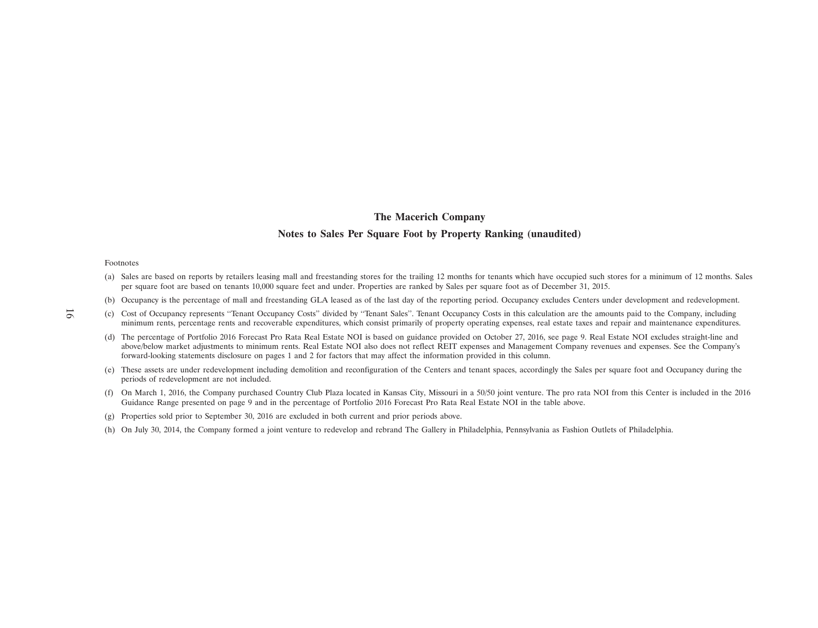## **The Macerich Company Notes to Sales Per Square Foot by Property Ranking (unaudited)**

#### Footnotes

- (a) Sales are based on reports by retailers leasing mall and freestanding stores for the trailing 12 months for tenants which have occupied such stores for a minimum of 12 months. Sales per square foot are based on tenants 10,000 square feet and under. Properties are ranked by Sales per square foot as of December 31, 2015.
- (b) Occupancy is the percentage of mall and freestanding GLA leased as of the last day of the reporting period. Occupancy excludes Centers under development and redevelopment.
- (c) Cost of Occupancy represents ''Tenant Occupancy Costs'' divided by ''Tenant Sales''. Tenant Occupancy Costs in this calculation are the amounts paid to the Company, including minimum rents, percentage rents and recoverable expenditures, which consist primarily of property operating expenses, real estate taxes and repair and maintenance expenditures.
- (d) The percentage of Portfolio 2016 Forecast Pro Rata Real Estate NOI is based on guidance provided on October 27, 2016, see page 9. Real Estate NOI excludes straight-line and above/below market adjustments to minimum rents. Real Estate NOI also does not reflect REIT expenses and Management Company revenues and expenses. See the Company's forward-looking statements disclosure on pages 1 and 2 for factors that may affect the information provided in this column.
- (e) These assets are under redevelopment including demolition and reconfiguration of the Centers and tenant spaces, accordingly the Sales per square foot and Occupancy during the periods of redevelopment are not included.
- (f) On March 1, 2016, the Company purchased Country Club Plaza located in Kansas City, Missouri in a 50/50 joint venture. The pro rata NOI from this Center is included in the 2016 Guidance Range presented on page 9 and in the percentage of Portfolio 2016 Forecast Pro Rata Real Estate NOI in the table above.
- (g) Properties sold prior to September 30, 2016 are excluded in both current and prior periods above.
- (h) On July 30, 2014, the Company formed a joint venture to redevelop and rebrand The Gallery in Philadelphia, Pennsylvania as Fashion Outlets of Philadelphia.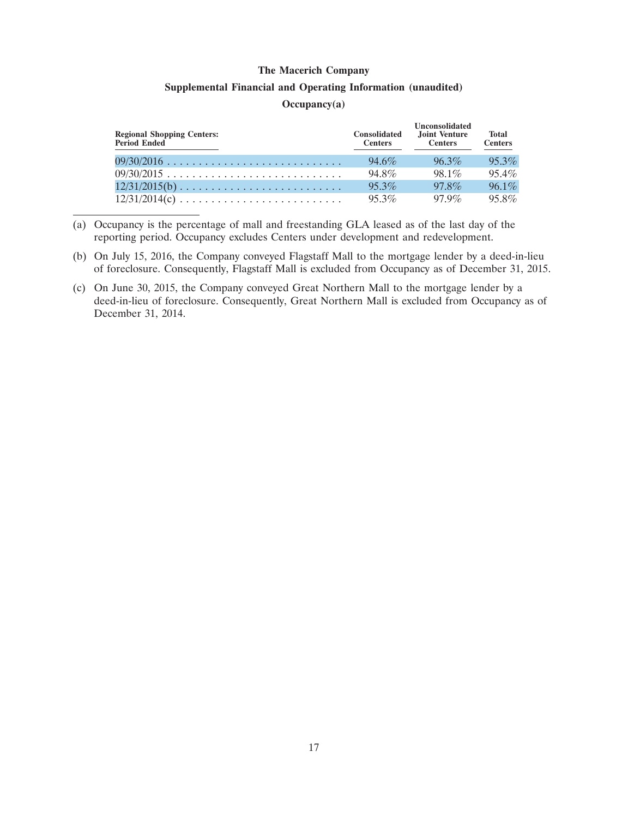#### **Supplemental Financial and Operating Information (unaudited)**

### **Occupancy(a)**

| <b>Regional Shopping Centers:</b><br>Period Ended | <b>Consolidated</b><br><b>Centers</b> | <b>Unconsolidated</b><br>Joint Venture<br><b>Centers</b> | <b>Total</b><br><b>Centers</b> |
|---------------------------------------------------|---------------------------------------|----------------------------------------------------------|--------------------------------|
|                                                   | $94.6\%$                              | $96.3\%$                                                 | $95.3\%$                       |
| 09/30/2015                                        | 94.8%                                 | $981\%$                                                  | $95.4\%$                       |
| $12/31/2015(b)$                                   | $95.3\%$                              | 97.8%                                                    | $96.1\%$                       |
|                                                   | $95.3\%$                              | $97.9\%$                                                 | 95.8%                          |

- (a) Occupancy is the percentage of mall and freestanding GLA leased as of the last day of the reporting period. Occupancy excludes Centers under development and redevelopment.
- (b) On July 15, 2016, the Company conveyed Flagstaff Mall to the mortgage lender by a deed-in-lieu of foreclosure. Consequently, Flagstaff Mall is excluded from Occupancy as of December 31, 2015.
- (c) On June 30, 2015, the Company conveyed Great Northern Mall to the mortgage lender by a deed-in-lieu of foreclosure. Consequently, Great Northern Mall is excluded from Occupancy as of December 31, 2014.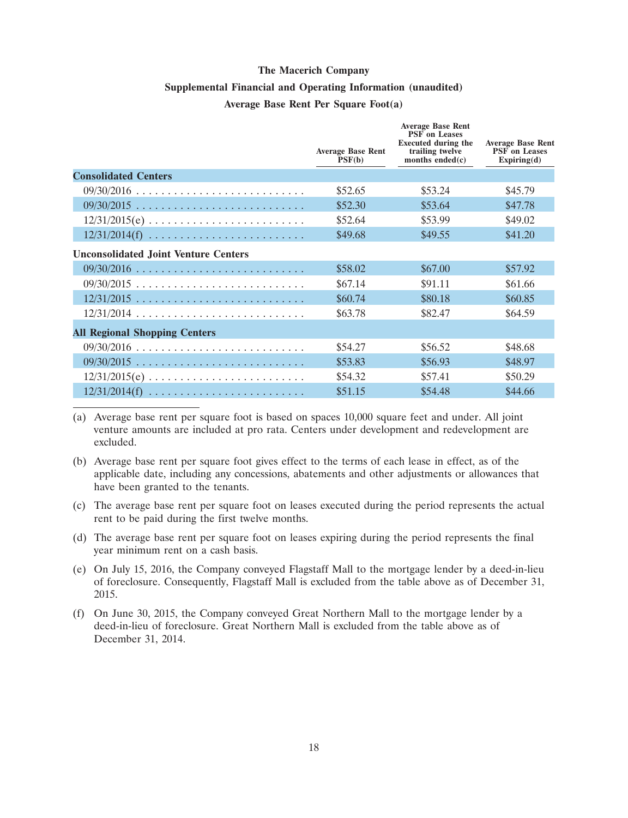#### **Supplemental Financial and Operating Information (unaudited)**

### **Average Base Rent Per Square Foot(a)**

| <b>Average Base Rent</b><br>PSF(b) | <b>PSF</b> on Leases<br><b>Executed during the</b><br>trailing twelve<br>months ended $(c)$ | <b>Average Base Rent</b><br><b>PSF</b> on Leases<br>Expiring(d) |
|------------------------------------|---------------------------------------------------------------------------------------------|-----------------------------------------------------------------|
|                                    |                                                                                             |                                                                 |
| \$52.65                            | \$53.24                                                                                     | \$45.79                                                         |
| \$52.30                            | \$53.64                                                                                     | \$47.78                                                         |
| \$52.64                            | \$53.99                                                                                     | \$49.02                                                         |
| \$49.68                            | \$49.55                                                                                     | \$41.20                                                         |
|                                    |                                                                                             |                                                                 |
| \$58.02                            | \$67.00                                                                                     | \$57.92                                                         |
| \$67.14                            | \$91.11                                                                                     | \$61.66                                                         |
| \$60.74                            | \$80.18                                                                                     | \$60.85                                                         |
| \$63.78                            | \$82.47                                                                                     | \$64.59                                                         |
|                                    |                                                                                             |                                                                 |
| \$54.27                            | \$56.52                                                                                     | \$48.68                                                         |
| \$53.83                            | \$56.93                                                                                     | \$48.97                                                         |
| \$54.32                            | \$57.41                                                                                     | \$50.29                                                         |
| \$51.15                            | \$54.48                                                                                     | \$44.66                                                         |
|                                    |                                                                                             | <b>Average Base Rent</b>                                        |

(a) Average base rent per square foot is based on spaces 10,000 square feet and under. All joint venture amounts are included at pro rata. Centers under development and redevelopment are excluded.

(b) Average base rent per square foot gives effect to the terms of each lease in effect, as of the applicable date, including any concessions, abatements and other adjustments or allowances that have been granted to the tenants.

(c) The average base rent per square foot on leases executed during the period represents the actual rent to be paid during the first twelve months.

(d) The average base rent per square foot on leases expiring during the period represents the final year minimum rent on a cash basis.

(e) On July 15, 2016, the Company conveyed Flagstaff Mall to the mortgage lender by a deed-in-lieu of foreclosure. Consequently, Flagstaff Mall is excluded from the table above as of December 31, 2015.

(f) On June 30, 2015, the Company conveyed Great Northern Mall to the mortgage lender by a deed-in-lieu of foreclosure. Great Northern Mall is excluded from the table above as of December 31, 2014.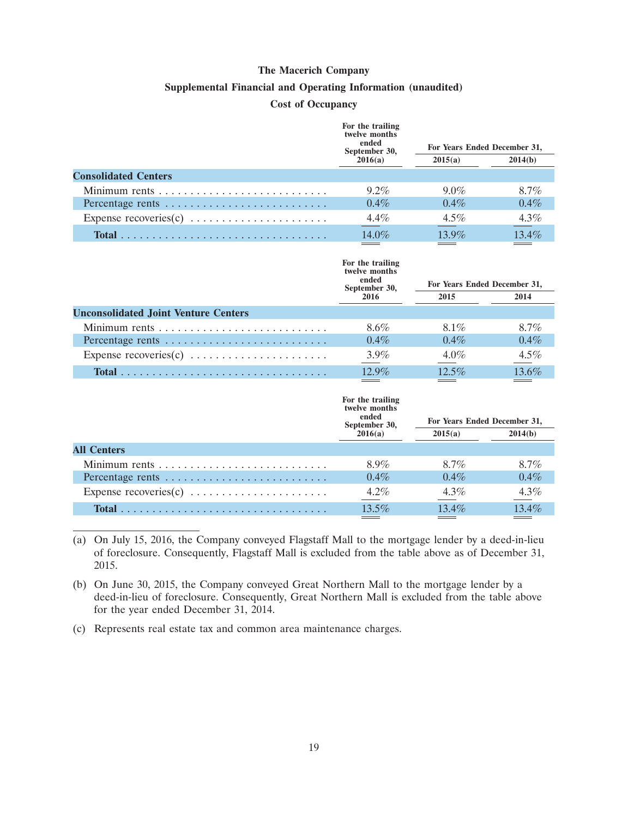#### **Supplemental Financial and Operating Information (unaudited)**

#### **Cost of Occupancy**

|                                             | For the trailing<br>twelve months<br>ended<br>September 30, | For Years Ended December 31, |         |  |
|---------------------------------------------|-------------------------------------------------------------|------------------------------|---------|--|
|                                             | 2016(a)                                                     | 2015(a)                      | 2014(b) |  |
| <b>Consolidated Centers</b>                 |                                                             |                              |         |  |
|                                             | $9.2\%$                                                     | $9.0\%$                      | $8.7\%$ |  |
|                                             | $0.4\%$                                                     | $0.4\%$                      | $0.4\%$ |  |
|                                             | $4.4\%$                                                     | $4.5\%$                      | 4.3%    |  |
|                                             | 14.0%                                                       | 13.9%                        | 13.4%   |  |
|                                             | For the trailing<br>twelve months<br>ended<br>September 30, | For Years Ended December 31, |         |  |
|                                             | 2016                                                        | 2015                         | 2014    |  |
| <b>Unconsolidated Joint Venture Centers</b> |                                                             |                              |         |  |
|                                             | $8.6\%$                                                     | $8.1\%$                      | $8.7\%$ |  |
| Percentage rents                            | $0.4\%$                                                     | $0.4\%$                      | $0.4\%$ |  |

|                    | $3.9\%$                                                     | $4.0\%$                              | $4.5\%$ |
|--------------------|-------------------------------------------------------------|--------------------------------------|---------|
| <b>Total</b>       | $12.9\%$                                                    | 12.5%                                | 13.6%   |
|                    | For the trailing<br>twelve months<br>ended<br>September 30, | $ -$<br>For Years Ended December 31, |         |
|                    | 2016(a)                                                     | 2015(a)                              | 2014(b) |
| <b>All Centers</b> |                                                             |                                      |         |

|                  | 8.9%     | 8.7%     | 8.7%     |
|------------------|----------|----------|----------|
| Percentage rents | $0.4\%$  | $0.4\%$  | $0.4\%$  |
|                  | $4.2\%$  | $4.3\%$  | $4.3\%$  |
|                  | $13.5\%$ | $13.4\%$ | $13.4\%$ |

(a) On July 15, 2016, the Company conveyed Flagstaff Mall to the mortgage lender by a deed-in-lieu of foreclosure. Consequently, Flagstaff Mall is excluded from the table above as of December 31, 2015.

(b) On June 30, 2015, the Company conveyed Great Northern Mall to the mortgage lender by a deed-in-lieu of foreclosure. Consequently, Great Northern Mall is excluded from the table above for the year ended December 31, 2014.

(c) Represents real estate tax and common area maintenance charges.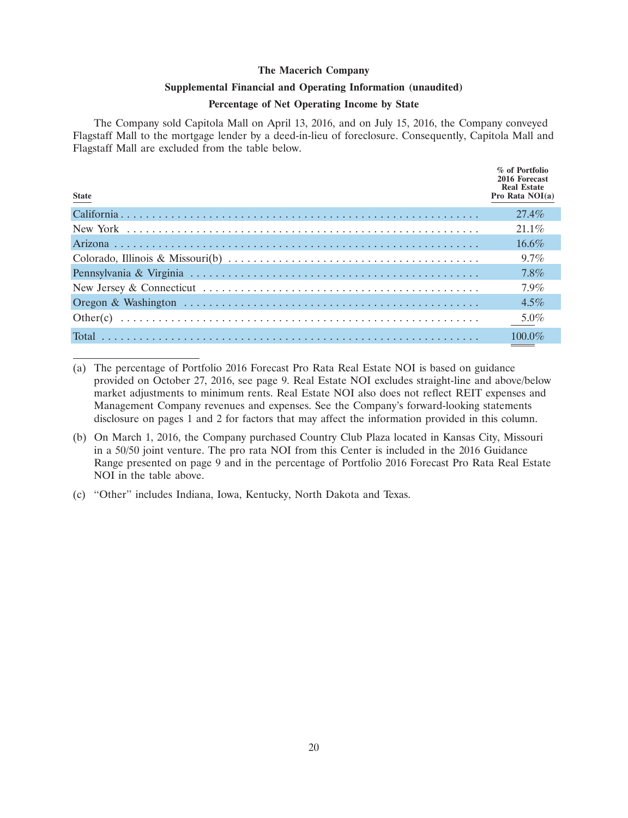### **Supplemental Financial and Operating Information (unaudited)**

### **Percentage of Net Operating Income by State**

The Company sold Capitola Mall on April 13, 2016, and on July 15, 2016, the Company conveyed Flagstaff Mall to the mortgage lender by a deed-in-lieu of foreclosure. Consequently, Capitola Mall and Flagstaff Mall are excluded from the table below.

| <b>State</b> | % of Portfolio<br>2016 Forecast<br><b>Real Estate</b><br>Pro Rata NOI(a) |
|--------------|--------------------------------------------------------------------------|
|              | $27.4\%$                                                                 |
|              | $21.1\%$                                                                 |
|              | $16.6\%$                                                                 |
|              | $9.7\%$                                                                  |
|              | $7.8\%$                                                                  |
|              | $7.9\%$                                                                  |
|              | $4.5\%$                                                                  |
|              | $5.0\%$                                                                  |
|              | $100.0\%$                                                                |

- (a) The percentage of Portfolio 2016 Forecast Pro Rata Real Estate NOI is based on guidance provided on October 27, 2016, see page 9. Real Estate NOI excludes straight-line and above/below market adjustments to minimum rents. Real Estate NOI also does not reflect REIT expenses and Management Company revenues and expenses. See the Company's forward-looking statements disclosure on pages 1 and 2 for factors that may affect the information provided in this column.
- (b) On March 1, 2016, the Company purchased Country Club Plaza located in Kansas City, Missouri in a 50/50 joint venture. The pro rata NOI from this Center is included in the 2016 Guidance Range presented on page 9 and in the percentage of Portfolio 2016 Forecast Pro Rata Real Estate NOI in the table above.
- (c) ''Other'' includes Indiana, Iowa, Kentucky, North Dakota and Texas.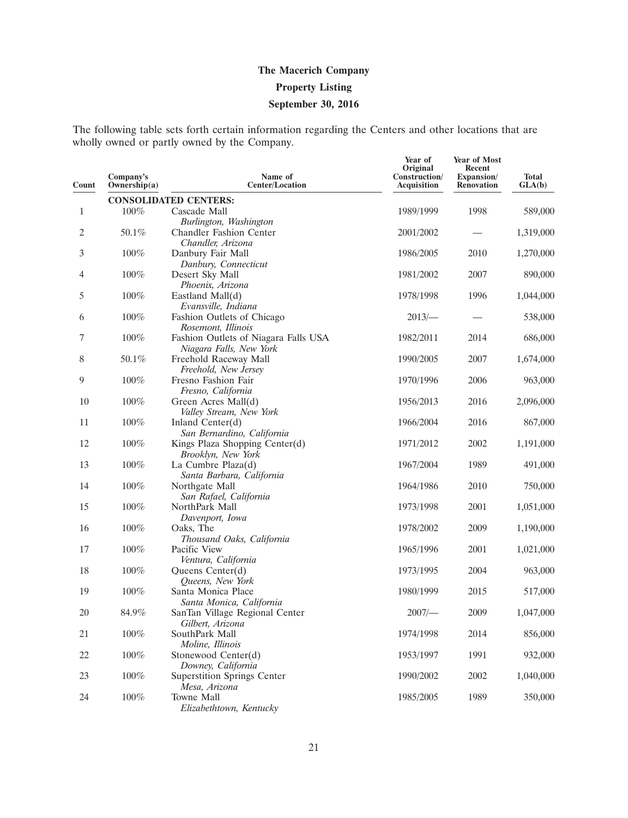# **The Macerich Company Property Listing September 30, 2016**

The following table sets forth certain information regarding the Centers and other locations that are wholly owned or partly owned by the Company.

| Count | Company's<br>Ownership(a) | Name of<br><b>Center/Location</b>                               | Year of<br>Original<br>Construction/<br>Acquisition | Year of Most<br>Recent<br><b>Expansion</b> /<br><b>Renovation</b> | <b>Total</b><br>GLA(b) |
|-------|---------------------------|-----------------------------------------------------------------|-----------------------------------------------------|-------------------------------------------------------------------|------------------------|
|       |                           | <b>CONSOLIDATED CENTERS:</b>                                    |                                                     |                                                                   |                        |
| 1     | 100%                      | Cascade Mall                                                    | 1989/1999                                           | 1998                                                              | 589,000                |
|       |                           | Burlington, Washington                                          |                                                     |                                                                   |                        |
| 2     | 50.1%                     | <b>Chandler Fashion Center</b><br>Chandler, Arizona             | 2001/2002                                           |                                                                   | 1,319,000              |
| 3     | 100%                      | Danbury Fair Mall<br>Danbury, Connecticut                       | 1986/2005                                           | 2010                                                              | 1,270,000              |
| 4     | 100%                      | Desert Sky Mall<br>Phoenix, Arizona                             | 1981/2002                                           | 2007                                                              | 890,000                |
| 5     | 100%                      | Eastland Mall(d)<br>Evansville, Indiana                         | 1978/1998                                           | 1996                                                              | 1,044,000              |
| 6     | 100%                      | Fashion Outlets of Chicago<br>Rosemont, Illinois                | $2013/-$                                            |                                                                   | 538,000                |
| 7     | 100%                      | Fashion Outlets of Niagara Falls USA<br>Niagara Falls, New York | 1982/2011                                           | 2014                                                              | 686,000                |
| 8     | 50.1%                     | Freehold Raceway Mall<br>Freehold, New Jersey                   | 1990/2005                                           | 2007                                                              | 1,674,000              |
| 9     | 100%                      | Fresno Fashion Fair<br>Fresno, California                       | 1970/1996                                           | 2006                                                              | 963,000                |
| 10    | 100%                      | Green Acres Mall(d)<br>Valley Stream, New York                  | 1956/2013                                           | 2016                                                              | 2,096,000              |
| 11    | 100%                      | Inland Center(d)<br>San Bernardino, California                  | 1966/2004                                           | 2016                                                              | 867,000                |
| 12    | 100%                      | Kings Plaza Shopping Center(d)<br>Brooklyn, New York            | 1971/2012                                           | 2002                                                              | 1,191,000              |
| 13    | 100%                      | La Cumbre Plaza(d)<br>Santa Barbara, California                 | 1967/2004                                           | 1989                                                              | 491,000                |
| 14    | 100%                      | Northgate Mall<br>San Rafael, California                        | 1964/1986                                           | 2010                                                              | 750,000                |
| 15    | 100%                      | NorthPark Mall<br>Davenport, Iowa                               | 1973/1998                                           | 2001                                                              | 1,051,000              |
| 16    | 100%                      | Oaks, The<br>Thousand Oaks, California                          | 1978/2002                                           | 2009                                                              | 1,190,000              |
| 17    | 100%                      | Pacific View<br>Ventura, California                             | 1965/1996                                           | 2001                                                              | 1,021,000              |
| 18    | 100%                      | Queens $Center(d)$<br>Queens, New York                          | 1973/1995                                           | 2004                                                              | 963,000                |
| 19    | 100%                      | Santa Monica Place<br>Santa Monica, California                  | 1980/1999                                           | 2015                                                              | 517,000                |
| 20    | 84.9%                     | SanTan Village Regional Center<br>Gilbert, Arizona              | 2007/                                               | 2009                                                              | 1,047,000              |
| 21    | $100\%$                   | SouthPark Mall<br>Moline, Illinois                              | 1974/1998                                           | 2014                                                              | 856,000                |
| 22    | $100\%$                   | Stonewood Center(d)<br>Downey, California                       | 1953/1997                                           | 1991                                                              | 932,000                |
| 23    | $100\%$                   | <b>Superstition Springs Center</b><br>Mesa, Arizona             | 1990/2002                                           | 2002                                                              | 1,040,000              |
| 24    | $100\%$                   | Towne Mall<br>Elizabethtown, Kentucky                           | 1985/2005                                           | 1989                                                              | 350,000                |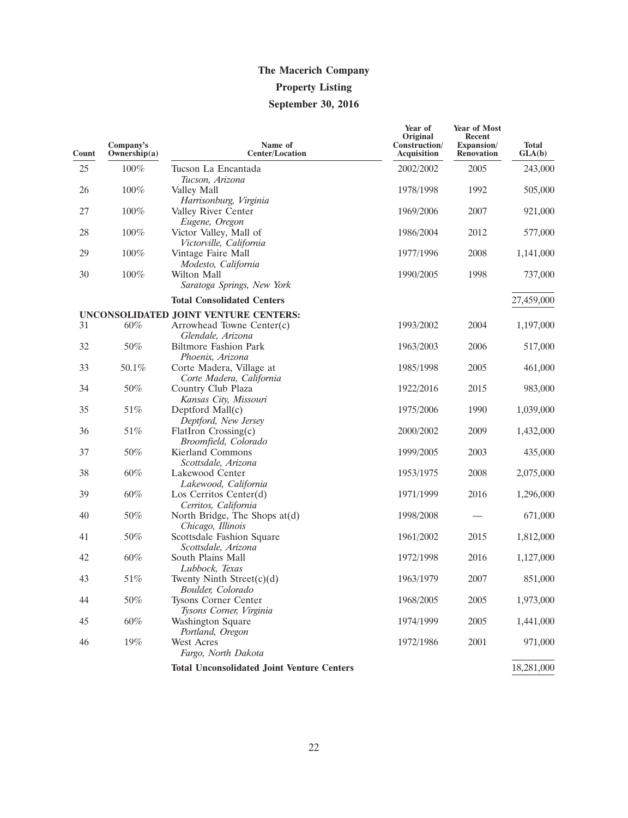# **The Macerich Company Property Listing**

# **September 30, 2016**

| Count    | Company's<br>Ownership $(a)$ | Name of<br><b>Center/Location</b>                                     | Year of<br>Original<br>Construction/<br><b>Acquisition</b> | Year of Most<br>Recent<br>Expansion/<br><b>Renovation</b> | <b>Total</b><br>GLA(b) |
|----------|------------------------------|-----------------------------------------------------------------------|------------------------------------------------------------|-----------------------------------------------------------|------------------------|
| 25       | 100%                         | Tucson La Encantada                                                   | 2002/2002                                                  | 2005                                                      | 243,000                |
| 26       | $100\%$                      | Tucson, Arizona<br>Valley Mall<br>Harrisonburg, Virginia              | 1978/1998                                                  | 1992                                                      | 505,000                |
| 27       | 100%                         | Valley River Center<br>Eugene, Oregon                                 | 1969/2006                                                  | 2007                                                      | 921,000                |
| 28       | $100\%$                      | Victor Valley, Mall of<br>Victorville, California                     | 1986/2004                                                  | 2012                                                      | 577,000                |
| 29       | $100\%$                      | Vintage Faire Mall<br>Modesto, California                             | 1977/1996                                                  | 2008                                                      | 1,141,000              |
| 30       | 100%                         | Wilton Mall<br>Saratoga Springs, New York                             | 1990/2005                                                  | 1998                                                      | 737,000                |
|          |                              | <b>Total Consolidated Centers</b>                                     |                                                            |                                                           | 27,459,000             |
|          |                              | UNCONSOLIDATED JOINT VENTURE CENTERS:                                 |                                                            |                                                           |                        |
| 31       | $60\%$                       | Arrowhead Towne Center(c)<br>Glendale, Arizona                        | 1993/2002                                                  | 2004                                                      | 1,197,000              |
| 32       | 50%                          | <b>Biltmore Fashion Park</b><br>Phoenix, Arizona                      | 1963/2003                                                  | 2006                                                      | 517,000                |
| 33       | 50.1%                        | Corte Madera, Village at<br>Corte Madera, California                  | 1985/1998                                                  | 2005                                                      | 461,000                |
| 34       | 50%                          | Country Club Plaza<br>Kansas City, Missouri                           | 1922/2016                                                  | 2015                                                      | 983,000                |
| 35       | 51%                          | Deptford Mall(c)<br>Deptford, New Jersey                              | 1975/2006                                                  | 1990                                                      | 1,039,000              |
| 36       | 51%                          | FlatIron Crossing(c)<br>Broomfield, Colorado                          | 2000/2002                                                  | 2009                                                      | 1,432,000              |
| 37       | 50%                          | <b>Kierland Commons</b><br>Scottsdale, Arizona                        | 1999/2005                                                  | 2003                                                      | 435,000                |
| 38       | 60%                          | Lakewood Center<br>Lakewood, California                               | 1953/1975                                                  | 2008                                                      | 2,075,000              |
| 39       | 60%                          | Los Cerritos Center(d)<br>Cerritos, California                        | 1971/1999                                                  | 2016                                                      | 1,296,000              |
| 40<br>41 | 50%<br>50%                   | North Bridge, The Shops at(d)<br>Chicago, Illinois                    | 1998/2008                                                  | 2015                                                      | 671,000                |
| 42       | 60%                          | Scottsdale Fashion Square<br>Scottsdale, Arizona<br>South Plains Mall | 1961/2002                                                  | 2016                                                      | 1,812,000              |
| 43       | 51%                          | Lubbock, Texas<br>Twenty Ninth Street $(c)(d)$                        | 1972/1998<br>1963/1979                                     | 2007                                                      | 1,127,000<br>851,000   |
|          |                              | Boulder. Colorado                                                     |                                                            |                                                           |                        |
| 44       | 50%                          | Tysons Corner Center<br>Tysons Corner, Virginia                       | 1968/2005                                                  | 2005                                                      | 1,973,000              |
| 45       | $60\%$                       | Washington Square<br>Portland, Oregon                                 | 1974/1999                                                  | 2005                                                      | 1,441,000              |
| 46       | $19\%$                       | West Acres<br>Fargo, North Dakota                                     | 1972/1986                                                  | 2001                                                      | 971,000                |
|          |                              | <b>Total Unconsolidated Joint Venture Centers</b>                     |                                                            |                                                           | 18,281,000             |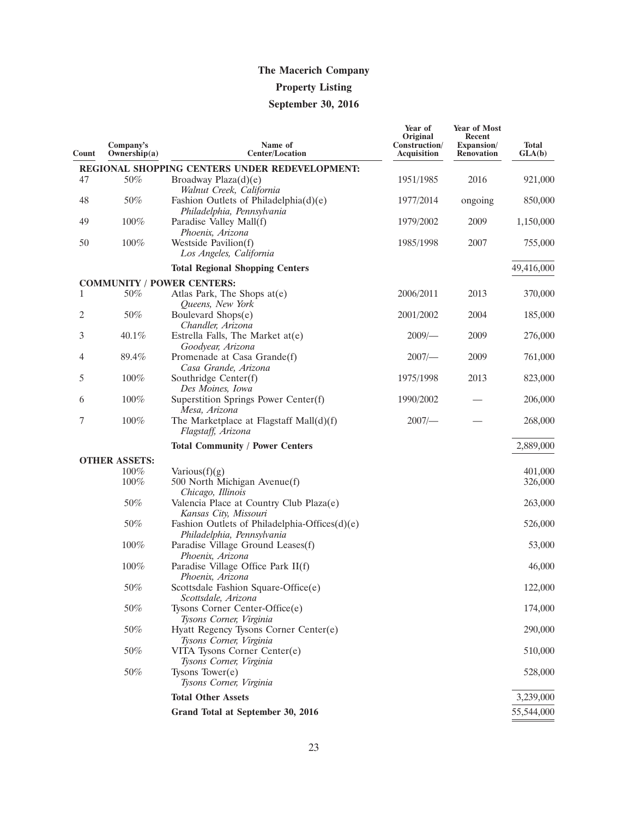## **Property Listing**

# **September 30, 2016**

| Count | Company's<br>Ownership(a) | Name of<br><b>Center/Location</b>                                           | Year of<br>Original<br>Construction/<br>Acquisition | Year of Most<br>Recent<br>Expansion/<br><b>Renovation</b> | <b>Total</b><br>GLA(b) |
|-------|---------------------------|-----------------------------------------------------------------------------|-----------------------------------------------------|-----------------------------------------------------------|------------------------|
|       |                           | REGIONAL SHOPPING CENTERS UNDER REDEVELOPMENT:                              |                                                     |                                                           |                        |
| 47    | 50%                       | Broadway Plaza(d)(e)<br>Walnut Creek, California                            | 1951/1985                                           | 2016                                                      | 921,000                |
| 48    | 50%                       | Fashion Outlets of Philadelphia(d)(e)<br>Philadelphia, Pennsylvania         | 1977/2014                                           | ongoing                                                   | 850,000                |
| 49    | 100%                      | Paradise Valley Mall(f)<br>Phoenix, Arizona                                 | 1979/2002                                           | 2009                                                      | 1,150,000              |
| 50    | 100%                      | Westside Pavilion(f)<br>Los Angeles, California                             | 1985/1998                                           | 2007                                                      | 755,000                |
|       |                           | <b>Total Regional Shopping Centers</b>                                      |                                                     |                                                           | 49,416,000             |
|       |                           | <b>COMMUNITY / POWER CENTERS:</b>                                           |                                                     |                                                           |                        |
| 1     | 50%                       | Atlas Park, The Shops at(e)<br>Queens, New York                             | 2006/2011                                           | 2013                                                      | 370,000                |
| 2     | 50%                       | Boulevard Shops(e)<br>Chandler, Arizona                                     | 2001/2002                                           | 2004                                                      | 185,000                |
| 3     | 40.1%                     | Estrella Falls, The Market at(e)<br>Goodyear, Arizona                       | $2009$ /-                                           | 2009                                                      | 276,000                |
| 4     | 89.4%                     | Promenade at Casa Grande(f)<br>Casa Grande, Arizona                         | $2007$ /-                                           | 2009                                                      | 761,000                |
| 5     | $100\%$                   | Southridge Center(f)<br>Des Moines, Iowa                                    | 1975/1998                                           | 2013                                                      | 823,000                |
| 6     | $100\%$                   | Superstition Springs Power Center(f)<br>Mesa, Arizona                       | 1990/2002                                           |                                                           | 206,000                |
| 7     | 100%                      | The Marketplace at Flagstaff Mall(d)(f)<br>Flagstaff, Arizona               | $2007$ /-                                           |                                                           | 268,000                |
|       |                           | <b>Total Community / Power Centers</b>                                      |                                                     |                                                           | 2,889,000              |
|       | <b>OTHER ASSETS:</b>      |                                                                             |                                                     |                                                           |                        |
|       | $100\%$                   | Various $(f)(g)$                                                            |                                                     |                                                           | 401,000                |
|       | $100\%$                   | 500 North Michigan Avenue(f)<br>Chicago, Illinois                           |                                                     |                                                           | 326,000                |
|       | 50%                       | Valencia Place at Country Club Plaza(e)<br>Kansas City, Missouri            |                                                     |                                                           | 263,000                |
|       | $50\%$                    | Fashion Outlets of Philadelphia-Offices(d)(e)<br>Philadelphia, Pennsylvania |                                                     |                                                           | 526,000                |
|       | 100%                      | Paradise Village Ground Leases(f)<br>Phoenix, Arizona                       |                                                     |                                                           | 53,000                 |
|       | 100%                      | Paradise Village Office Park II(f)<br>Phoenix, Arizona                      |                                                     |                                                           | 46,000                 |
|       | 50%                       | Scottsdale Fashion Square-Office(e)<br>Scottsdale, Arizona                  |                                                     |                                                           | 122,000                |
|       | 50%                       | Tysons Corner Center-Office(e)<br>Tysons Corner, Virginia                   |                                                     |                                                           | 174,000                |
|       | $50\%$                    | Hyatt Regency Tysons Corner Center(e)<br>Tysons Corner, Virginia            |                                                     |                                                           | 290,000                |
|       | 50%                       | VITA Tysons Corner Center(e)<br>Tysons Corner, Virginia                     |                                                     |                                                           | 510,000                |
|       | $50\%$                    | $Tysons Tower(e)$<br>Tysons Corner, Virginia                                |                                                     |                                                           | 528,000                |
|       |                           | <b>Total Other Assets</b>                                                   |                                                     |                                                           | 3,239,000              |
|       |                           | Grand Total at September 30, 2016                                           |                                                     |                                                           | 55,544,000             |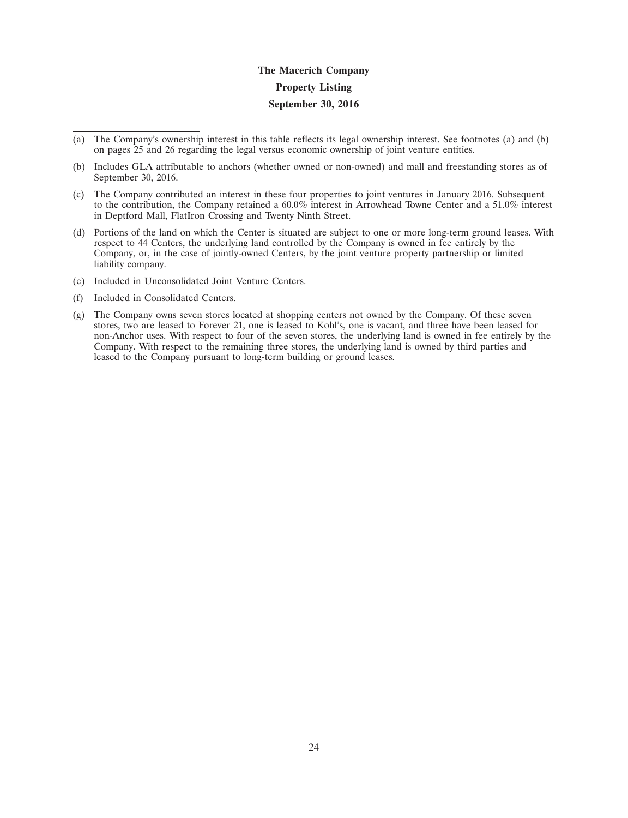# **The Macerich Company Property Listing September 30, 2016**

- (a) The Company's ownership interest in this table reflects its legal ownership interest. See footnotes (a) and (b) on pages 25 and 26 regarding the legal versus economic ownership of joint venture entities.
- (b) Includes GLA attributable to anchors (whether owned or non-owned) and mall and freestanding stores as of September 30, 2016.
- (c) The Company contributed an interest in these four properties to joint ventures in January 2016. Subsequent to the contribution, the Company retained a 60.0% interest in Arrowhead Towne Center and a 51.0% interest in Deptford Mall, FlatIron Crossing and Twenty Ninth Street.
- (d) Portions of the land on which the Center is situated are subject to one or more long-term ground leases. With respect to 44 Centers, the underlying land controlled by the Company is owned in fee entirely by the Company, or, in the case of jointly-owned Centers, by the joint venture property partnership or limited liability company.
- (e) Included in Unconsolidated Joint Venture Centers.
- (f) Included in Consolidated Centers.
- (g) The Company owns seven stores located at shopping centers not owned by the Company. Of these seven stores, two are leased to Forever 21, one is leased to Kohl's, one is vacant, and three have been leased for non-Anchor uses. With respect to four of the seven stores, the underlying land is owned in fee entirely by the Company. With respect to the remaining three stores, the underlying land is owned by third parties and leased to the Company pursuant to long-term building or ground leases.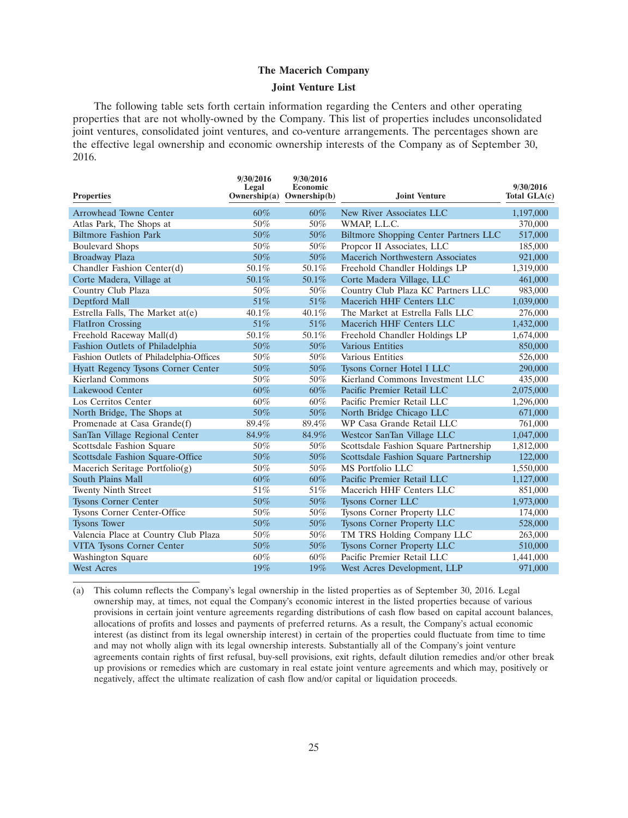### **Joint Venture List**

The following table sets forth certain information regarding the Centers and other operating properties that are not wholly-owned by the Company. This list of properties includes unconsolidated joint ventures, consolidated joint ventures, and co-venture arrangements. The percentages shown are the effective legal ownership and economic ownership interests of the Company as of September 30, 2016.

| <b>Properties</b>                       | 9/30/2016<br>Legal | 9/30/2016<br>Economic<br>Ownership(a) Ownership(b) | <b>Joint Venture</b>                         | 9/30/2016<br>Total GLA(c) |
|-----------------------------------------|--------------------|----------------------------------------------------|----------------------------------------------|---------------------------|
| <b>Arrowhead Towne Center</b>           | 60%                | 60%                                                | New River Associates LLC                     | 1,197,000                 |
| Atlas Park, The Shops at                | 50%                | 50%                                                | WMAP, L.L.C.                                 | 370,000                   |
| <b>Biltmore Fashion Park</b>            | 50%                | 50%                                                | <b>Biltmore Shopping Center Partners LLC</b> | 517,000                   |
| <b>Boulevard Shops</b>                  | 50%                | 50%                                                | Propcor II Associates, LLC                   | 185,000                   |
| <b>Broadway Plaza</b>                   | 50%                | 50%                                                | <b>Macerich Northwestern Associates</b>      | 921,000                   |
| Chandler Fashion Center(d)              | 50.1%              | 50.1%                                              | Freehold Chandler Holdings LP                | 1,319,000                 |
| Corte Madera, Village at                | 50.1%              | 50.1%                                              | Corte Madera Village, LLC                    | 461,000                   |
| Country Club Plaza                      | 50%                | 50%                                                | Country Club Plaza KC Partners LLC           | 983,000                   |
| Deptford Mall                           | 51%                | 51%                                                | Macerich HHF Centers LLC                     | 1,039,000                 |
| Estrella Falls, The Market at(e)        | 40.1%              | 40.1%                                              | The Market at Estrella Falls LLC             | 276,000                   |
| <b>FlatIron Crossing</b>                | 51%                | 51%                                                | Macerich HHF Centers LLC                     | 1,432,000                 |
| Freehold Raceway Mall(d)                | 50.1%              | 50.1%                                              | Freehold Chandler Holdings LP                | 1,674,000                 |
| Fashion Outlets of Philadelphia         | 50%                | 50%                                                | <b>Various Entities</b>                      | 850,000                   |
| Fashion Outlets of Philadelphia-Offices | 50%                | 50%                                                | Various Entities                             | 526,000                   |
| Hyatt Regency Tysons Corner Center      | 50%                | 50%                                                | Tysons Corner Hotel I LLC                    | 290,000                   |
| <b>Kierland Commons</b>                 | 50%                | 50%                                                | Kierland Commons Investment LLC              | 435,000                   |
| Lakewood Center                         | 60%                | 60%                                                | Pacific Premier Retail LLC                   | 2,075,000                 |
| Los Cerritos Center                     | 60%                | 60%                                                | Pacific Premier Retail LLC                   | 1,296,000                 |
| North Bridge, The Shops at              | 50%                | 50%                                                | North Bridge Chicago LLC                     | 671,000                   |
| Promenade at Casa Grande(f)             | 89.4%              | 89.4%                                              | WP Casa Grande Retail LLC                    | 761,000                   |
| SanTan Village Regional Center          | 84.9%              | 84.9%                                              | Westcor SanTan Village LLC                   | 1,047,000                 |
| Scottsdale Fashion Square               | 50%                | 50%                                                | Scottsdale Fashion Square Partnership        | 1,812,000                 |
| Scottsdale Fashion Square-Office        | 50%                | 50%                                                | Scottsdale Fashion Square Partnership        | 122,000                   |
| Macerich Seritage Portfolio $(g)$       | 50%                | 50%                                                | MS Portfolio LLC                             | 1,550,000                 |
| South Plains Mall                       | 60%                | 60%                                                | Pacific Premier Retail LLC                   | 1,127,000                 |
| <b>Twenty Ninth Street</b>              | 51%                | 51%                                                | Macerich HHF Centers LLC                     | 851,000                   |
| Tysons Corner Center                    | 50%                | 50%                                                | <b>Tysons Corner LLC</b>                     | 1,973,000                 |
| Tysons Corner Center-Office             | 50%                | 50%                                                | Tysons Corner Property LLC                   | 174,000                   |
| <b>Tysons Tower</b>                     | 50%                | 50%                                                | <b>Tysons Corner Property LLC</b>            | 528,000                   |
| Valencia Place at Country Club Plaza    | 50%                | 50%                                                | TM TRS Holding Company LLC                   | 263,000                   |
| VITA Tysons Corner Center               | 50%                | 50%                                                | Tysons Corner Property LLC                   | 510,000                   |
| Washington Square                       | 60%                | 60%                                                | Pacific Premier Retail LLC                   | 1,441,000                 |
| <b>West Acres</b>                       | 19%                | 19%                                                | West Acres Development, LLP                  | 971,000                   |

(a) This column reflects the Company's legal ownership in the listed properties as of September 30, 2016. Legal ownership may, at times, not equal the Company's economic interest in the listed properties because of various provisions in certain joint venture agreements regarding distributions of cash flow based on capital account balances, allocations of profits and losses and payments of preferred returns. As a result, the Company's actual economic interest (as distinct from its legal ownership interest) in certain of the properties could fluctuate from time to time and may not wholly align with its legal ownership interests. Substantially all of the Company's joint venture agreements contain rights of first refusal, buy-sell provisions, exit rights, default dilution remedies and/or other break up provisions or remedies which are customary in real estate joint venture agreements and which may, positively or negatively, affect the ultimate realization of cash flow and/or capital or liquidation proceeds.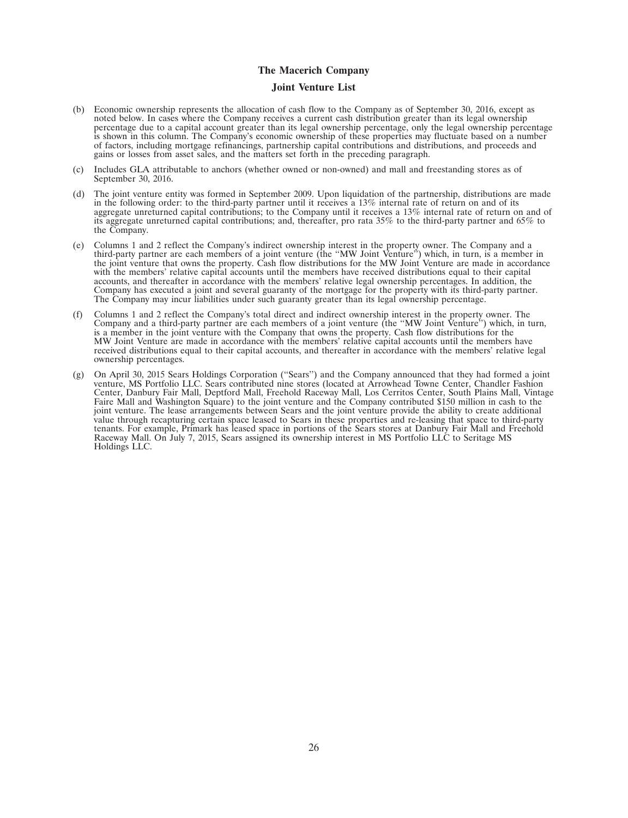#### **Joint Venture List**

- (b) Economic ownership represents the allocation of cash flow to the Company as of September 30, 2016, except as noted below. In cases where the Company receives a current cash distribution greater than its legal ownership percentage due to a capital account greater than its legal ownership percentage, only the legal ownership percentage is shown in this column. The Company's economic ownership of these properties may fluctuate based on a number of factors, including mortgage refinancings, partnership capital contributions and distributions, and proceeds and gains or losses from asset sales, and the matters set forth in the preceding paragraph.
- (c) Includes GLA attributable to anchors (whether owned or non-owned) and mall and freestanding stores as of September 30, 2016.
- (d) The joint venture entity was formed in September 2009. Upon liquidation of the partnership, distributions are made in the following order: to the third-party partner until it receives a 13% internal rate of return on and of its aggregate unreturned capital contributions; to the Company until it receives a 13% internal rate of return on and of its aggregate unreturned capital contributions; and, thereafter, pro rata 35% to the third-party partner and 65% to the Company.
- (e) Columns 1 and 2 reflect the Company's indirect ownership interest in the property owner. The Company and a third-party partner are each members of a joint venture (the ''MW Joint Venture'') which, in turn, is a member in the joint venture that owns the property. Cash flow distributions for the MW Joint Venture are made in accordance with the members' relative capital accounts until the members have received distributions equal to their capital accounts, and thereafter in accordance with the members' relative legal ownership percentages. In addition, the Company has executed a joint and several guaranty of the mortgage for the property with its third-party partner. The Company may incur liabilities under such guaranty greater than its legal ownership percentage.
- (f) Columns 1 and 2 reflect the Company's total direct and indirect ownership interest in the property owner. The Company and a third-party partner are each members of a joint venture (the ''MW Joint Venture'') which, in turn, is a member in the joint venture with the Company that owns the property. Cash flow distributions for the MW Joint Venture are made in accordance with the members' relative capital accounts until the members have received distributions equal to their capital accounts, and thereafter in accordance with the members' relative legal ownership percentages.
- (g) On April 30, 2015 Sears Holdings Corporation (''Sears'') and the Company announced that they had formed a joint venture, MS Portfolio LLC. Sears contributed nine stores (located at Arrowhead Towne Center, Chandler Fashion Center, Danbury Fair Mall, Deptford Mall, Freehold Raceway Mall, Los Cerritos Center, South Plains Mall, Vintage Faire Mall and Washington Square) to the joint venture and the Company contributed \$150 million in cash to the joint venture. The lease arrangements between Sears and the joint venture provide the ability to create additional value through recapturing certain space leased to Sears in these properties and re-leasing that space to third-party tenants. For example, Primark has leased space in portions of the Sears stores at Danbury Fair Mall and Freehold Raceway Mall. On July 7, 2015, Sears assigned its ownership interest in MS Portfolio LLC to Seritage MS Holdings LLC.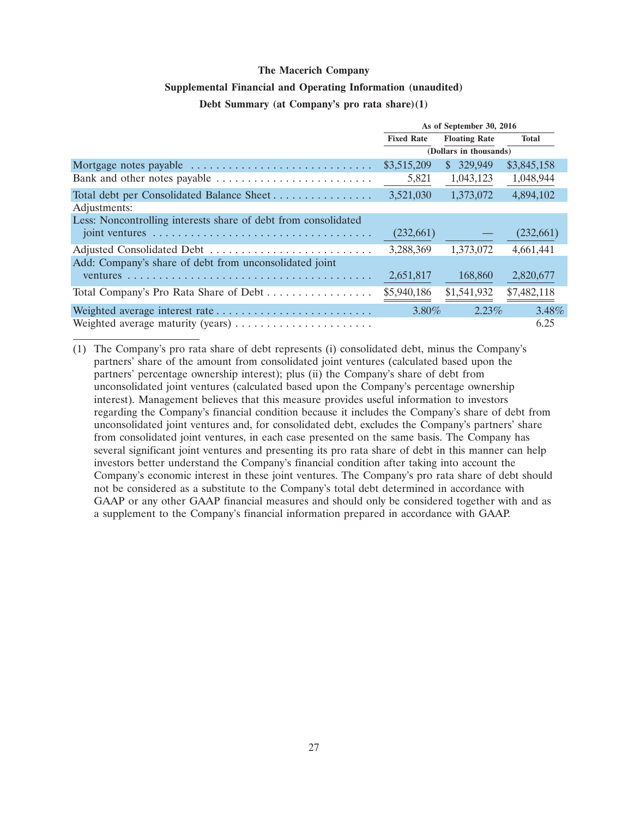#### **Supplemental Financial and Operating Information (unaudited)**

### **Debt Summary (at Company's pro rata share)(1)**

|                                                                | As of September 30, 2016 |                        |              |
|----------------------------------------------------------------|--------------------------|------------------------|--------------|
|                                                                | <b>Fixed Rate</b>        | <b>Floating Rate</b>   | <b>Total</b> |
|                                                                |                          | (Dollars in thousands) |              |
|                                                                | \$3,515,209              | \$329,949              | \$3,845,158  |
| Bank and other notes payable                                   | 5,821                    | 1,043,123              | 1,048,944    |
| Total debt per Consolidated Balance Sheet                      | 3,521,030                | 1,373,072              | 4,894,102    |
| Adjustments:                                                   |                          |                        |              |
| Less: Noncontrolling interests share of debt from consolidated |                          |                        |              |
|                                                                | (232,661)                |                        | (232,661)    |
| Adjusted Consolidated Debt                                     | 3,288,369                | 1,373,072              | 4,661,441    |
| Add: Company's share of debt from unconsolidated joint         |                          |                        |              |
|                                                                | 2,651,817                | 168,860                | 2,820,677    |
|                                                                | \$5,940,186              | \$1,541,932            | \$7,482,118  |
|                                                                | 3.80%                    | $2.23\%$               | 3.48%        |
| Weighted average maturity (years)                              |                          |                        | 6.25         |

(1) The Company's pro rata share of debt represents (i) consolidated debt, minus the Company's partners' share of the amount from consolidated joint ventures (calculated based upon the partners' percentage ownership interest); plus (ii) the Company's share of debt from unconsolidated joint ventures (calculated based upon the Company's percentage ownership interest). Management believes that this measure provides useful information to investors regarding the Company's financial condition because it includes the Company's share of debt from unconsolidated joint ventures and, for consolidated debt, excludes the Company's partners' share from consolidated joint ventures, in each case presented on the same basis. The Company has several significant joint ventures and presenting its pro rata share of debt in this manner can help investors better understand the Company's financial condition after taking into account the Company's economic interest in these joint ventures. The Company's pro rata share of debt should not be considered as a substitute to the Company's total debt determined in accordance with GAAP or any other GAAP financial measures and should only be considered together with and as a supplement to the Company's financial information prepared in accordance with GAAP.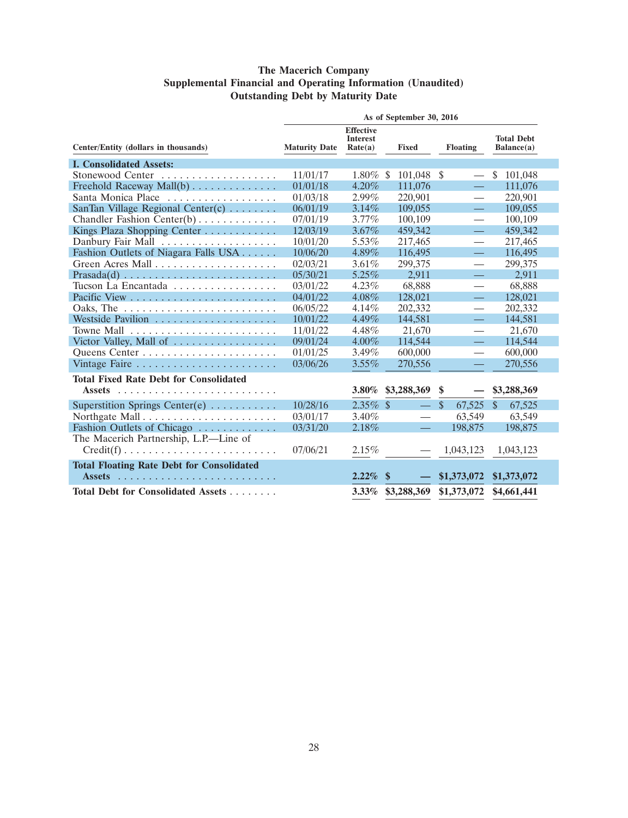### **The Macerich Company Supplemental Financial and Operating Information (Unaudited) Outstanding Debt by Maturity Date**

|                                                                     | As of September 30, 2016 |                                         |                          |                          |                                 |  |
|---------------------------------------------------------------------|--------------------------|-----------------------------------------|--------------------------|--------------------------|---------------------------------|--|
| Center/Entity (dollars in thousands)                                | <b>Maturity Date</b>     | <b>Effective</b><br>Interest<br>Rate(a) | Fixed                    | <b>Floating</b>          | <b>Total Debt</b><br>Balance(a) |  |
| <b>I. Consolidated Assets:</b>                                      |                          |                                         |                          |                          |                                 |  |
| Stonewood Center                                                    | 11/01/17                 | $1.80\%$ \$                             | 101,048                  | -\$                      | <sup>\$</sup><br>101,048        |  |
| Freehold Raceway Mall(b)                                            | 01/01/18                 | $4.20\%$                                | 111,076                  | 二                        | 111,076                         |  |
| Santa Monica Place                                                  | 01/03/18                 | $2.99\%$                                | 220,901                  | $\overline{\phantom{0}}$ | 220,901                         |  |
| SanTan Village Regional Center(c)                                   | 06/01/19                 | 3.14%                                   | 109,055                  | L,                       | 109,055                         |  |
| Chandler Fashion Center(b)                                          | 07/01/19                 | $3.77\%$                                | 100,109                  | $\overline{\phantom{0}}$ | 100,109                         |  |
| Kings Plaza Shopping Center                                         | 12/03/19                 | 3.67%                                   | 459,342                  | 二                        | 459,342                         |  |
| Danbury Fair Mall                                                   | 10/01/20                 | 5.53%                                   | 217,465                  |                          | 217,465                         |  |
| Fashion Outlets of Niagara Falls USA                                | 10/06/20                 | 4.89%                                   | 116,495                  | $\equiv$                 | 116,495                         |  |
|                                                                     | 02/03/21                 | $3.61\%$                                | 299,375                  |                          | 299,375                         |  |
|                                                                     | 05/30/21                 | 5.25%                                   | 2,911                    | 二                        | 2,911                           |  |
| Tucson La Encantada                                                 | 03/01/22                 | $4.23\%$                                | 68,888                   |                          | 68,888                          |  |
|                                                                     | 04/01/22                 | $4.08\%$                                | 128,021                  | 二                        | 128,021                         |  |
| Oaks, The $\ldots \ldots \ldots \ldots \ldots \ldots \ldots \ldots$ | 06/05/22                 | 4.14%                                   | 202,332                  |                          | 202,332                         |  |
|                                                                     | 10/01/22                 | 4.49%                                   | 144,581                  | 二                        | 144,581                         |  |
|                                                                     | 11/01/22                 | 4.48%                                   | 21,670                   |                          | 21,670                          |  |
| Victor Valley, Mall of                                              | 09/01/24                 | 4.00%                                   | 114,544                  | 二                        | 114,544                         |  |
|                                                                     | 01/01/25                 | 3.49%                                   | 600,000                  |                          | 600,000                         |  |
|                                                                     | 03/06/26                 | $3.55\%$                                | 270,556                  | $\equiv$                 | 270,556                         |  |
| <b>Total Fixed Rate Debt for Consolidated</b>                       |                          |                                         |                          |                          |                                 |  |
|                                                                     |                          | $3.80\%$                                | \$3,288,369              | $\mathbf{\$}$            | \$3,288,369                     |  |
| Superstition Springs Center $(e)$                                   | 10/28/16                 | $2.35\%$ \$                             | $\overline{\phantom{0}}$ | $\mathbf{s}$<br>67,525   | $\mathbb{S}$<br>67.525          |  |
|                                                                     | 03/01/17                 | $3.40\%$                                |                          | 63.549                   | 63.549                          |  |
| Fashion Outlets of Chicago                                          | 03/31/20                 | 2.18%                                   | $\equiv$                 | 198,875                  | 198,875                         |  |
| The Macerich Partnership, L.P.-Line of                              |                          |                                         |                          |                          |                                 |  |
| $Credit(f) \ldots \ldots \ldots \ldots \ldots \ldots \ldots$        | 07/06/21                 | 2.15%                                   |                          | 1,043,123                | 1,043,123                       |  |
| <b>Total Floating Rate Debt for Consolidated</b><br><b>Assets</b>   |                          | $2.22\%$ \$                             |                          | \$1,373,072              | \$1,373,072                     |  |
| Total Debt for Consolidated Assets                                  |                          | $3.33\%$                                | \$3,288,369              | \$1,373,072              | \$4,661,441                     |  |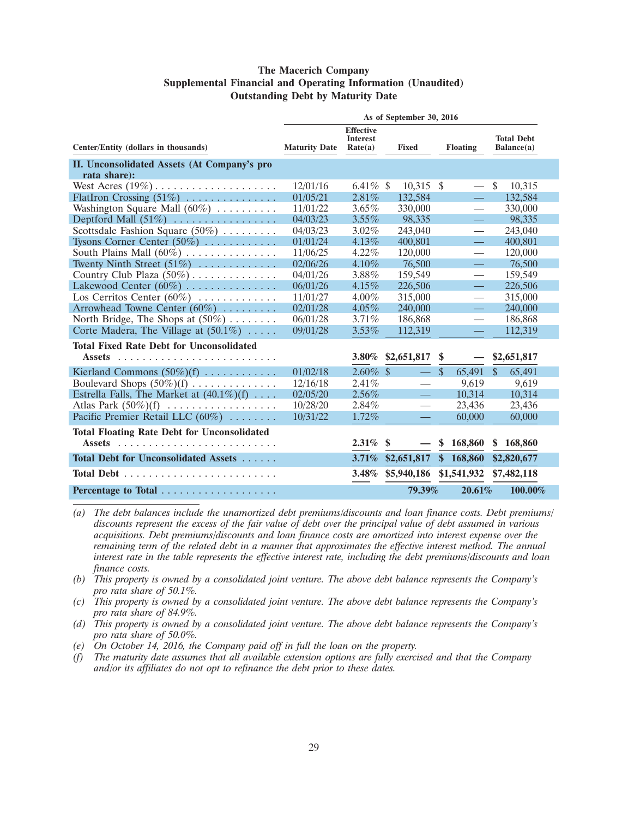### **The Macerich Company Supplemental Financial and Operating Information (Unaudited) Outstanding Debt by Maturity Date**

|                                                               | As of September 30, 2016 |                                                |                               |               |                          |              |                                 |
|---------------------------------------------------------------|--------------------------|------------------------------------------------|-------------------------------|---------------|--------------------------|--------------|---------------------------------|
| Center/Entity (dollars in thousands)                          | <b>Maturity Date</b>     | <b>Effective</b><br><b>Interest</b><br>Rate(a) | Fixed                         |               | <b>Floating</b>          |              | <b>Total Debt</b><br>Balance(a) |
| II. Unconsolidated Assets (At Company's pro                   |                          |                                                |                               |               |                          |              |                                 |
| rata share):                                                  |                          |                                                |                               |               |                          |              |                                 |
|                                                               | 12/01/16                 | 6.41\% \\$                                     | $10.315$ \$                   |               | $\overline{\phantom{0}}$ | S.           | 10,315                          |
| FlatIron Crossing $(51\%)$                                    | 01/05/21                 | 2.81%                                          | 132,584                       |               |                          |              | 132,584                         |
| Washington Square Mall (60%)                                  | 11/01/22                 | $3.65\%$                                       | 330,000                       |               | $\overline{\phantom{0}}$ |              | 330,000                         |
| Deptford Mall $(51\%)$                                        | 04/03/23                 | $3.55\%$                                       | 98,335                        |               |                          |              | 98,335                          |
| Scottsdale Fashion Square (50%)                               | 04/03/23                 | $3.02\%$                                       | 243,040                       |               |                          |              | 243,040                         |
| Tysons Corner Center $(50\%)$                                 | 01/01/24                 | 4.13%                                          | 400,801                       |               | 二                        |              | 400,801                         |
| South Plains Mall $(60\%)$                                    | 11/06/25                 | $4.22\%$                                       | 120,000                       |               |                          |              | 120,000                         |
| Twenty Ninth Street $(51\%)$                                  | 02/06/26                 | 4.10%                                          | 76,500                        |               | 二                        |              | 76,500                          |
| Country Club Plaza $(50\%)$                                   | 04/01/26                 | 3.88%                                          | 159,549                       |               |                          |              | 159,549                         |
| Lakewood Center (60%)                                         | 06/01/26                 | $4.15\%$                                       | 226,506                       |               | ÷,                       |              | 226,506                         |
| Los Cerritos Center (60%)                                     | 11/01/27                 | $4.00\%$                                       | 315,000                       |               |                          |              | 315,000                         |
| Arrowhead Towne Center $(60\%)$                               | 02/01/28                 | 4.05%                                          | 240,000                       |               | 二                        |              | 240,000                         |
| North Bridge, The Shops at $(50\%)$                           | 06/01/28                 | 3.71%                                          | 186,868                       |               |                          |              | 186,868                         |
| Corte Madera, The Village at $(50.1\%)$                       | 09/01/28                 | $3.53\%$                                       | 112,319                       |               | 二                        |              | 112,319                         |
| <b>Total Fixed Rate Debt for Unconsolidated</b>               |                          |                                                |                               |               |                          |              |                                 |
|                                                               |                          |                                                | 3.80% \$2,651,817             | $\mathbf{\$}$ | $\overline{\phantom{0}}$ |              | \$2,651,817                     |
| Kierland Commons $(50\%)$ (f)                                 | 01/02/18                 | $2.60\%$ \$                                    | $\frac{1}{2}$                 | $\mathbf{\$}$ | 65,491                   | $\mathbb{S}$ | 65,491                          |
| Boulevard Shops $(50\%)$ (f)                                  | 12/16/18                 | $2.41\%$                                       |                               |               | 9,619                    |              | 9,619                           |
| Estrella Falls, The Market at $(40.1\%)$ (f)                  | 02/05/20                 | $2.56\%$                                       | $\equiv$                      |               | 10,314                   |              | 10,314                          |
| Atlas Park $(50\%)$ (f)                                       | 10/28/20                 | 2.84%                                          |                               |               | 23,436                   |              | 23,436                          |
| Pacific Premier Retail LLC (60%)                              | 10/31/22                 | $1.72\%$                                       |                               |               | 60,000                   |              | 60,000                          |
| <b>Total Floating Rate Debt for Unconsolidated</b>            |                          |                                                |                               |               |                          |              |                                 |
|                                                               |                          | $2.31\%$ \$                                    | $\overline{\phantom{m}}$      |               | \$168,860                |              | \$168,860                       |
| Total Debt for Unconsolidated Assets                          |                          |                                                | 3.71% \$2,651,817             |               | \$168,860                |              | \$2,820,677                     |
| Total Debt $\ldots \ldots \ldots \ldots \ldots \ldots \ldots$ |                          |                                                | 3.48% \$5,940,186 \$1,541,932 |               |                          |              | \$7,482,118                     |
|                                                               |                          |                                                | 79.39%                        |               | 20.61%                   |              | 100.00%                         |

*<sup>(</sup>a) The debt balances include the unamortized debt premiums/discounts and loan finance costs. Debt premiums/ discounts represent the excess of the fair value of debt over the principal value of debt assumed in various acquisitions. Debt premiums/discounts and loan finance costs are amortized into interest expense over the remaining term of the related debt in a manner that approximates the effective interest method. The annual interest rate in the table represents the effective interest rate, including the debt premiums/discounts and loan finance costs.*

*(b) This property is owned by a consolidated joint venture. The above debt balance represents the Company's pro rata share of 50.1%.*

- *(c) This property is owned by a consolidated joint venture. The above debt balance represents the Company's pro rata share of 84.9%.*
- *(d) This property is owned by a consolidated joint venture. The above debt balance represents the Company's pro rata share of 50.0%.*
- *(e) On October 14, 2016, the Company paid off in full the loan on the property.*
- *(f) The maturity date assumes that all available extension options are fully exercised and that the Company and/or its affiliates do not opt to refinance the debt prior to these dates.*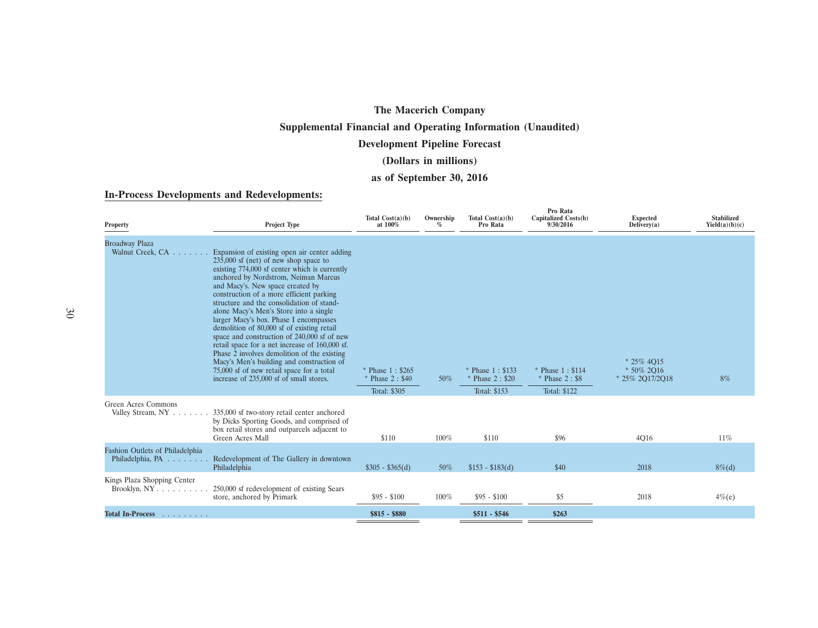## **Supplemental Financial and Operating Information (Unaudited)**

## **Development Pipeline Forecast**

## **(Dollars in millions)**

## **as of September 30, 2016**

## **In-Process Developments and Redevelopments:**

| Property                                            | <b>Project Type</b>                                                                                                                                                                                                                                                                                                                                                                                                                                                                                                                                                                                                                                                                                                                  | Total $Cost(a)(b)$<br>at 100%        | Ownership<br>% | Total $Cost(a)(b)$<br>Pro Rata      | Pro Rata<br>Capitalized Costs(b)<br>9/30/2016 | <b>Expected</b><br>Deliverv(a)                 | <b>Stabilized</b><br>Yield(a)(b)(c) |
|-----------------------------------------------------|--------------------------------------------------------------------------------------------------------------------------------------------------------------------------------------------------------------------------------------------------------------------------------------------------------------------------------------------------------------------------------------------------------------------------------------------------------------------------------------------------------------------------------------------------------------------------------------------------------------------------------------------------------------------------------------------------------------------------------------|--------------------------------------|----------------|-------------------------------------|-----------------------------------------------|------------------------------------------------|-------------------------------------|
| <b>Broadway Plaza</b><br>Walnut Creek, CA           | Expansion of existing open air center adding<br>$235,000$ sf (net) of new shop space to<br>existing 774,000 sf center which is currently<br>anchored by Nordstrom, Neiman Marcus<br>and Macy's. New space created by<br>construction of a more efficient parking<br>structure and the consolidation of stand-<br>alone Macy's Men's Store into a single<br>larger Macy's box. Phase I encompasses<br>demolition of 80,000 sf of existing retail<br>space and construction of 240,000 sf of new<br>retail space for a net increase of 160,000 sf.<br>Phase 2 involves demolition of the existing<br>Macy's Men's building and construction of<br>75,000 sf of new retail space for a total<br>increase of 235,000 sf of small stores. | * Phase $1: $265$<br>* Phase 2: \$40 | $50\%$         | * Phase 1: \$133<br>* Phase 2: \$20 | * Phase 1: \$114<br>* Phase 2:\$8             | $* 25\% 4015$<br>* 50% 2016<br>* 25% 2017/2018 | 8%                                  |
|                                                     |                                                                                                                                                                                                                                                                                                                                                                                                                                                                                                                                                                                                                                                                                                                                      | Total: \$305                         |                | Total: \$153                        | Total: \$122                                  |                                                |                                     |
| Green Acres Commons<br>Valley Stream, NY            | 335,000 sf two-story retail center anchored<br>by Dicks Sporting Goods, and comprised of<br>box retail stores and outparcels adjacent to<br>Green Acres Mall                                                                                                                                                                                                                                                                                                                                                                                                                                                                                                                                                                         | \$110                                | 100%           | \$110                               | \$96                                          | 4Q16                                           | $11\%$                              |
| Fashion Outlets of Philadelphia<br>Philadelphia, PA | Redevelopment of The Gallery in downtown<br>Philadelphia                                                                                                                                                                                                                                                                                                                                                                                                                                                                                                                                                                                                                                                                             | $$305 - $365(d)$                     | 50%            | $$153 - $183(d)$                    | \$40                                          | 2018                                           | $8\%$ (d)                           |
| Kings Plaza Shopping Center<br>Brooklyn, $NY$       | 250,000 sf redevelopment of existing Sears<br>store, anchored by Primark                                                                                                                                                                                                                                                                                                                                                                                                                                                                                                                                                                                                                                                             | $$95 - $100$                         | 100%           | $$95 - $100$                        | \$5                                           | 2018                                           | $4\%$ (e)                           |
| <b>Total In-Process</b>                             |                                                                                                                                                                                                                                                                                                                                                                                                                                                                                                                                                                                                                                                                                                                                      | $$815 - $880$                        |                | $$511 - $546$                       | \$263                                         |                                                |                                     |
|                                                     |                                                                                                                                                                                                                                                                                                                                                                                                                                                                                                                                                                                                                                                                                                                                      |                                      |                |                                     |                                               |                                                |                                     |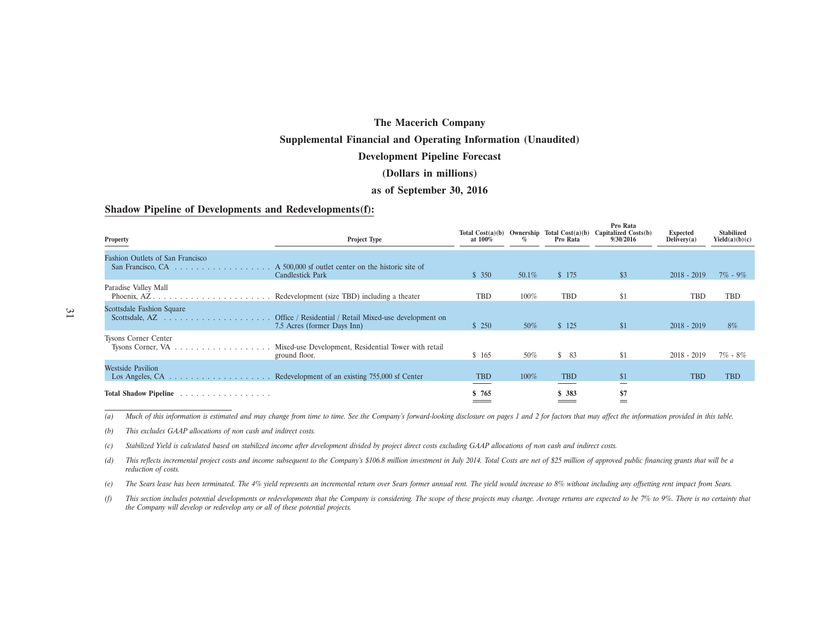#### **Supplemental Financial and Operating Information (Unaudited)**

## **Development Pipeline Forecast**

#### **(Dollars in millions)**

#### **as of September 30, 2016**

#### **Shadow Pipeline of Developments and Redevelopments(f):**

| Property                              | <b>Project Type</b>                                                                   | at 100%    | $\%$    | Total $Cost(a)(b)$ Ownership Total $Cost(a)(b)$<br>Pro Rata | Pro Rata<br>Capitalized Costs(b)<br>9/30/2016 | <b>Expected</b><br>Delivery(a) | <b>Stabilized</b><br>Yield(a)(b)(c) |
|---------------------------------------|---------------------------------------------------------------------------------------|------------|---------|-------------------------------------------------------------|-----------------------------------------------|--------------------------------|-------------------------------------|
| Fashion Outlets of San Francisco      | A 500,000 sf outlet center on the historic site of<br><b>Candlestick Park</b>         | \$350      | 50.1%   | \$175                                                       | \$3                                           | $2018 - 2019$                  | $7\% - 9\%$                         |
| Paradise Valley Mall<br>Phoenix, $AZ$ | Redevelopment (size TBD) including a theater                                          | <b>TBD</b> | $100\%$ | <b>TBD</b>                                                  | \$1                                           | TBD                            | <b>TBD</b>                          |
| Scottsdale Fashion Square             | Office / Residential / Retail Mixed-use development on<br>7.5 Acres (former Days Inn) | \$250      | 50%     | \$125                                                       | \$1                                           | $2018 - 2019$                  | 8%                                  |
| <b>Tysons Corner Center</b>           | Mixed-use Development, Residential Tower with retail<br>ground floor.                 | \$165      | 50%     | \$83                                                        | \$1                                           | $2018 - 2019$                  | $7\% - 8\%$                         |
| <b>Westside Pavilion</b>              |                                                                                       | <b>TBD</b> | $100\%$ | <b>TBD</b>                                                  | \$1                                           | <b>TBD</b>                     | <b>TBD</b>                          |
| Total Shadow Pipeline                 |                                                                                       | \$765      |         | \$383                                                       | \$7<br>$=$                                    |                                |                                     |

(a) Much of this information is estimated and may change from time to time. See the Company's forward-looking disclosure on pages 1 and 2 for factors that may affect the information provided in this table.

*(b) This excludes GAAP allocations of non cash and indirect costs.*

*(c) Stabilized Yield is calculated based on stabilized income after development divided by project direct costs excluding GAAP allocations of non cash and indirect costs.*

(d) This reflects incremental project costs and income subsequent to the Company's \$106.8 million investment in July 2014. Total Costs are net of \$25 million of approved public financing grants that will be a *reduction of costs.*

(e) The Sears lease has been terminated. The 4% yield represents an incremental return over Sears former annual rent. The yield would increase to 8% without including any offsetting rent impact from Sears.

(f) This section includes potential developments or redevelopments that the Company is considering. The scope of these projects may change. Average returns are expected to be 7% to 9%. There is no certainty that *the Company will develop or redevelop any or all of these potential projects.*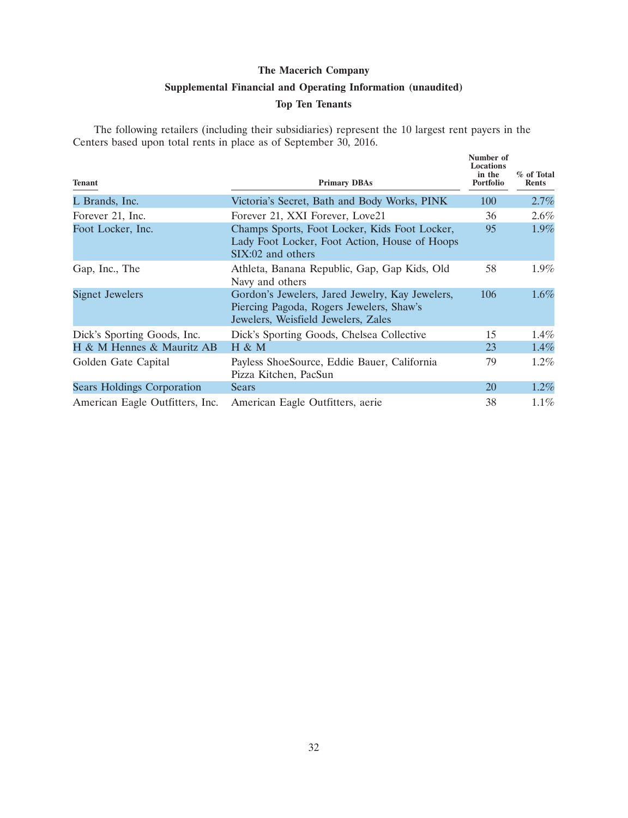### **Supplemental Financial and Operating Information (unaudited)**

## **Top Ten Tenants**

The following retailers (including their subsidiaries) represent the 10 largest rent payers in the Centers based upon total rents in place as of September 30, 2016.

| <b>Tenant</b>                     | <b>Primary DBAs</b>                                                                                                                | Number of<br><b>Locations</b><br>in the<br><b>Portfolio</b> | % of Total<br>Rents |
|-----------------------------------|------------------------------------------------------------------------------------------------------------------------------------|-------------------------------------------------------------|---------------------|
| L Brands, Inc.                    | Victoria's Secret, Bath and Body Works, PINK                                                                                       | <b>100</b>                                                  | 2.7%                |
| Forever 21, Inc.                  | Forever 21, XXI Forever, Love21                                                                                                    | 36                                                          | $2.6\%$             |
| Foot Locker, Inc.                 | Champs Sports, Foot Locker, Kids Foot Locker,<br>Lady Foot Locker, Foot Action, House of Hoops<br>SIX:02 and others                | 95                                                          | $1.9\%$             |
| Gap, Inc., The                    | Athleta, Banana Republic, Gap, Gap Kids, Old<br>Navy and others                                                                    | 58                                                          | $1.9\%$             |
| <b>Signet Jewelers</b>            | Gordon's Jewelers, Jared Jewelry, Kay Jewelers,<br>Piercing Pagoda, Rogers Jewelers, Shaw's<br>Jewelers, Weisfield Jewelers, Zales | 106                                                         | $1.6\%$             |
| Dick's Sporting Goods, Inc.       | Dick's Sporting Goods, Chelsea Collective                                                                                          | 15                                                          | $1.4\%$             |
| H & M Hennes & Mauritz AB         | H & M                                                                                                                              | 23                                                          | $1.4\%$             |
| Golden Gate Capital               | Payless ShoeSource, Eddie Bauer, California<br>Pizza Kitchen, PacSun                                                               | 79                                                          | $1.2\%$             |
| <b>Sears Holdings Corporation</b> | Sears                                                                                                                              | 20                                                          | $1.2\%$             |
| American Eagle Outfitters, Inc.   | American Eagle Outfitters, aerie                                                                                                   | 38                                                          | $1.1\%$             |